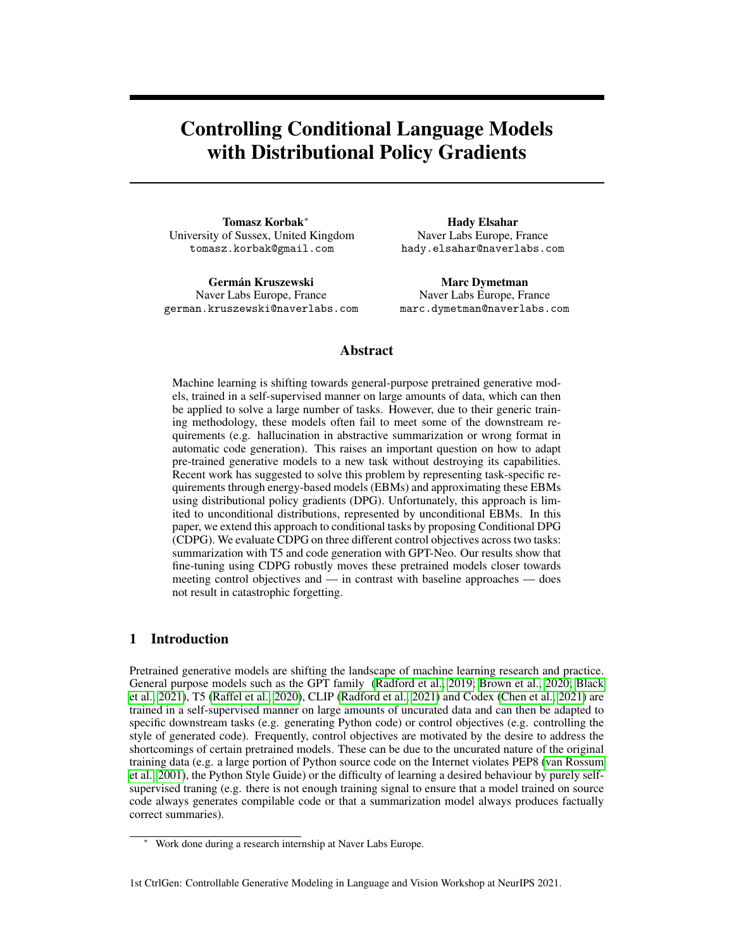# <span id="page-0-0"></span>Controlling Conditional Language Models with Distributional Policy Gradients

Tomasz Korbak<sup>∗</sup> University of Sussex, United Kingdom tomasz.korbak@gmail.com

Germán Kruszewski Naver Labs Europe, France german.kruszewski@naverlabs.com

Hady Elsahar Naver Labs Europe, France hady.elsahar@naverlabs.com

Marc Dymetman Naver Labs Europe, France marc.dymetman@naverlabs.com

# Abstract

Machine learning is shifting towards general-purpose pretrained generative models, trained in a self-supervised manner on large amounts of data, which can then be applied to solve a large number of tasks. However, due to their generic training methodology, these models often fail to meet some of the downstream requirements (e.g. hallucination in abstractive summarization or wrong format in automatic code generation). This raises an important question on how to adapt pre-trained generative models to a new task without destroying its capabilities. Recent work has suggested to solve this problem by representing task-specific requirements through energy-based models (EBMs) and approximating these EBMs using distributional policy gradients (DPG). Unfortunately, this approach is limited to unconditional distributions, represented by unconditional EBMs. In this paper, we extend this approach to conditional tasks by proposing Conditional DPG (CDPG). We evaluate CDPG on three different control objectives across two tasks: summarization with T5 and code generation with GPT-Neo. Our results show that fine-tuning using CDPG robustly moves these pretrained models closer towards meeting control objectives and — in contrast with baseline approaches — does not result in catastrophic forgetting.

# 1 Introduction

Pretrained generative models are shifting the landscape of machine learning research and practice. General purpose models such as the GPT family [\(Radford et al., 2019;](#page-10-0) [Brown et al., 2020;](#page-8-0) [Black](#page-8-1) [et al., 2021\)](#page-8-1), T5 [\(Raffel et al., 2020\)](#page-10-1), CLIP [\(Radford et al., 2021\)](#page-10-2) and Codex [\(Chen et al., 2021\)](#page-8-2) are trained in a self-supervised manner on large amounts of uncurated data and can then be adapted to specific downstream tasks (e.g. generating Python code) or control objectives (e.g. controlling the style of generated code). Frequently, control objectives are motivated by the desire to address the shortcomings of certain pretrained models. These can be due to the uncurated nature of the original training data (e.g. a large portion of Python source code on the Internet violates PEP8 [\(van Rossum](#page-11-0) [et al., 2001\)](#page-11-0), the Python Style Guide) or the difficulty of learning a desired behaviour by purely selfsupervised traning (e.g. there is not enough training signal to ensure that a model trained on source code always generates compilable code or that a summarization model always produces factually correct summaries).

### 1st CtrlGen: Controllable Generative Modeling in Language and Vision Workshop at NeurIPS 2021.

Work done during a research internship at Naver Labs Europe.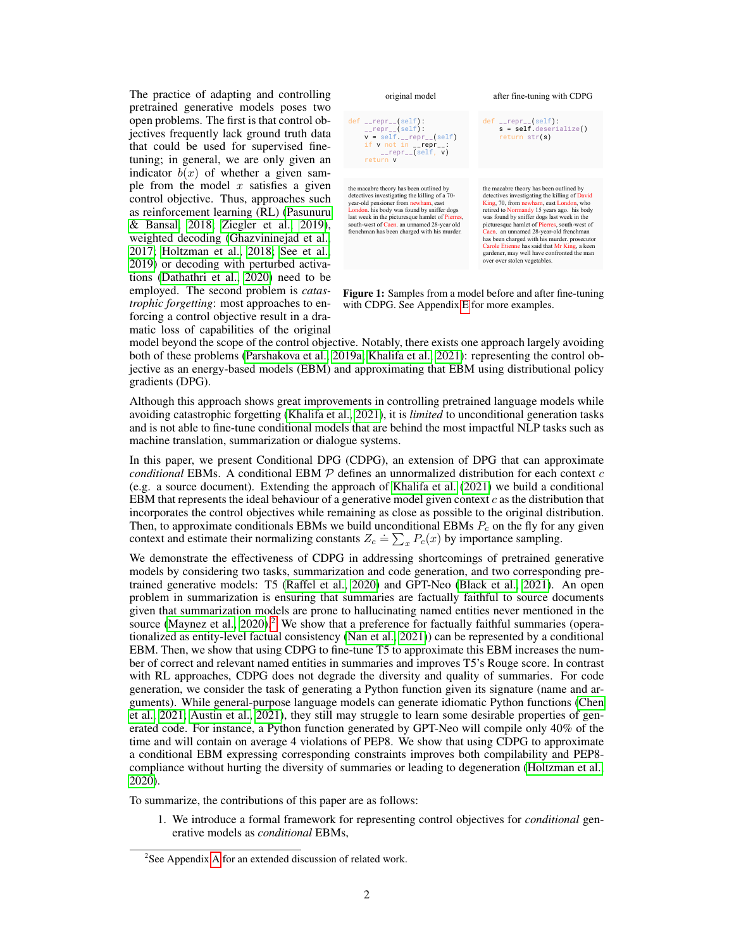The practice of adapting and controlling pretrained generative models poses two open problems. The first is that control objectives frequently lack ground truth data that could be used for supervised finetuning; in general, we are only given an indicator  $b(x)$  of whether a given sample from the model  $x$  satisfies a given control objective. Thus, approaches such as reinforcement learning (RL) [\(Pasunuru](#page-10-3) [& Bansal, 2018;](#page-10-3) [Ziegler et al., 2019\)](#page-11-1), weighted decoding [\(Ghazvininejad et al.,](#page-9-0) [2017;](#page-9-0) [Holtzman et al., 2018;](#page-9-1) [See et al.,](#page-11-2) [2019\)](#page-11-2) or decoding with perturbed activations [\(Dathathri et al., 2020\)](#page-8-3) need to be employed. The second problem is *catastrophic forgetting*: most approaches to enforcing a control objective result in a dramatic loss of capabilities of the original



Figure 1: Samples from a model before and after fine-tuning with CDPG. See Appendix [E](#page-17-0) for more examples.

model beyond the scope of the control objective. Notably, there exists one approach largely avoiding both of these problems [\(Parshakova et al., 2019a;](#page-10-4) [Khalifa et al., 2021\)](#page-9-2): representing the control objective as an energy-based models (EBM) and approximating that EBM using distributional policy gradients (DPG).

Although this approach shows great improvements in controlling pretrained language models while avoiding catastrophic forgetting [\(Khalifa et al., 2021\)](#page-9-2), it is *limited* to unconditional generation tasks and is not able to fine-tune conditional models that are behind the most impactful NLP tasks such as machine translation, summarization or dialogue systems.

In this paper, we present Conditional DPG (CDPG), an extension of DPG that can approximate *conditional* EBMs. A conditional EBM P defines an unnormalized distribution for each context c (e.g. a source document). Extending the approach of [Khalifa et al.](#page-9-2) [\(2021\)](#page-9-2) we build a conditional EBM that represents the ideal behaviour of a generative model given context  $c$  as the distribution that incorporates the control objectives while remaining as close as possible to the original distribution. Then, to approximate conditionals EBMs we build unconditional EBMs  $P_c$  on the fly for any given Then, to approximate conditionals EDMs we build diffeometrical EDMs  $T_c$  on the fiy for a context and estimate their normalizing constants  $Z_c \doteq \sum_x P_c(x)$  by importance sampling.

We demonstrate the effectiveness of CDPG in addressing shortcomings of pretrained generative models by considering two tasks, summarization and code generation, and two corresponding pretrained generative models: T5 [\(Raffel et al., 2020\)](#page-10-1) and GPT-Neo [\(Black et al., 2021\)](#page-8-1). An open problem in summarization is ensuring that summaries are factually faithful to source documents given that summarization models are prone to hallucinating named entities never mentioned in the source [\(Maynez et al., 2020\)](#page-10-5).<sup>[2](#page-0-0)</sup> We show that a preference for factually faithful summaries (operationalized as entity-level factual consistency [\(Nan et al., 2021\)](#page-10-6)) can be represented by a conditional EBM. Then, we show that using CDPG to fine-tune T5 to approximate this EBM increases the number of correct and relevant named entities in summaries and improves T5's Rouge score. In contrast with RL approaches, CDPG does not degrade the diversity and quality of summaries. For code generation, we consider the task of generating a Python function given its signature (name and arguments). While general-purpose language models can generate idiomatic Python functions [\(Chen](#page-8-2) [et al., 2021;](#page-8-2) [Austin et al., 2021\)](#page-8-4), they still may struggle to learn some desirable properties of generated code. For instance, a Python function generated by GPT-Neo will compile only 40% of the time and will contain on average 4 violations of PEP8. We show that using CDPG to approximate a conditional EBM expressing corresponding constraints improves both compilability and PEP8 compliance without hurting the diversity of summaries or leading to degeneration [\(Holtzman et al.,](#page-9-3) [2020\)](#page-9-3).

To summarize, the contributions of this paper are as follows:

1. We introduce a formal framework for representing control objectives for *conditional* generative models as *conditional* EBMs,

<sup>&</sup>lt;sup>2</sup>See [A](#page-12-0)ppendix A for an extended discussion of related work.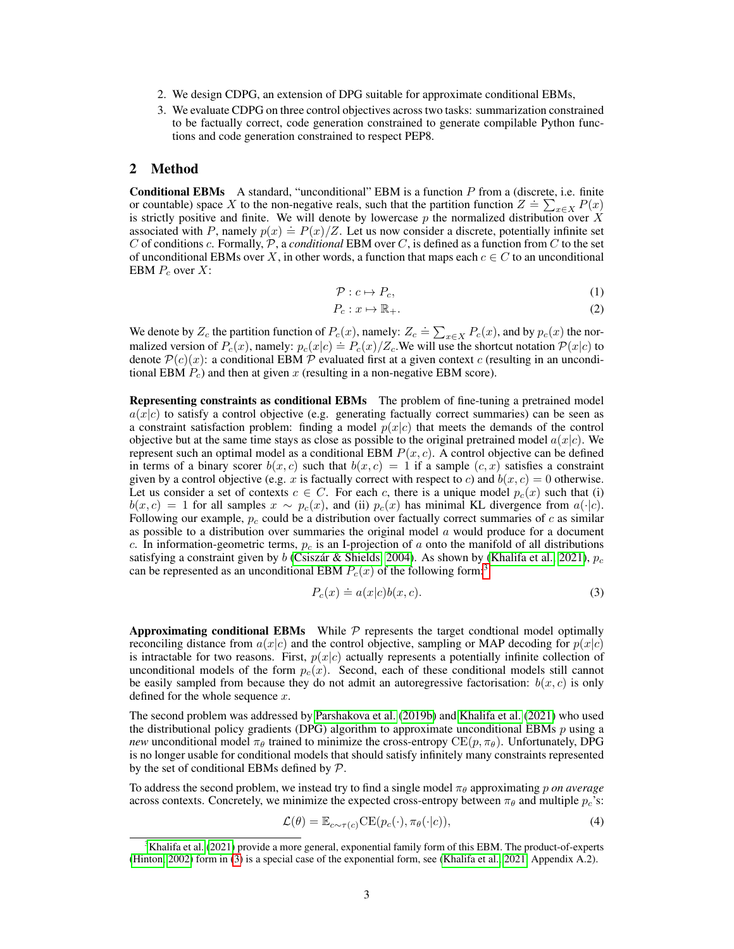- 2. We design CDPG, an extension of DPG suitable for approximate conditional EBMs,
- 3. We evaluate CDPG on three control objectives across two tasks: summarization constrained to be factually correct, code generation constrained to generate compilable Python functions and code generation constrained to respect PEP8.

### 2 Method

Conditional EBMs A standard, "unconditional" EBM is a function P from a (discrete, i.e. finite or countable) space X to the non-negative reals, such that the partition function  $Z = \sum_{x \in X} P(x)$ is strictly positive and finite. We will denote by lowercase  $p$  the normalized distribution over  $X$ associated with P, namely  $p(x) = P(x)/Z$ . Let us now consider a discrete, potentially infinite set C of conditions c. Formally,  $P$ , a *conditional* EBM over C, is defined as a function from C to the set of unconditional EBMs over X, in other words, a function that maps each  $c \in C$  to an unconditional EBM  $P_c$  over  $X$ :

$$
\mathcal{P}:c\mapsto P_c,\tag{1}
$$

$$
P_c: x \mapsto \mathbb{R}_+.\tag{2}
$$

We denote by  $Z_c$  the partition function of  $P_c(x)$ , namely:  $Z_c \doteq \sum_{x \in X} P_c(x)$ , and by  $p_c(x)$  the normalized version of  $P_c(x)$ , namely:  $p_c(x|c) = P_c(x)/Z_c$ . We will use the shortcut notation  $\mathcal{P}(x|c)$  to  $\mathcal{P}(x|c)$  to denote  $\mathcal{P}(c)(x)$ : a conditional EBM  $\hat{\mathcal{P}}$  evaluated first at a given context c (resulting in an unconditional EBM  $P_c$ ) and then at given x (resulting in a non-negative EBM score).

Representing constraints as conditional EBMs The problem of fine-tuning a pretrained model  $a(x|c)$  to satisfy a control objective (e.g. generating factually correct summaries) can be seen as a constraint satisfaction problem: finding a model  $p(x|c)$  that meets the demands of the control objective but at the same time stays as close as possible to the original pretrained model  $a(x|c)$ . We represent such an optimal model as a conditional EBM  $P(x, c)$ . A control objective can be defined in terms of a binary scorer  $b(x, c)$  such that  $b(x, c) = 1$  if a sample  $(c, x)$  satisfies a constraint given by a control objective (e.g. x is factually correct with respect to c) and  $b(x, c) = 0$  otherwise. Let us consider a set of contexts  $c \in C$ . For each c, there is a unique model  $p_c(x)$  such that (i)  $b(x, c) = 1$  for all samples  $x \sim p_c(x)$ , and (ii)  $p_c(x)$  has minimal KL divergence from  $a(\cdot|c)$ . Following our example,  $p_c$  could be a distribution over factually correct summaries of c as similar as possible to a distribution over summaries the original model  $\alpha$  would produce for a document c. In information-geometric terms,  $p_c$  is an I-projection of a onto the manifold of all distributions satisfying a constraint given by b [\(Csiszár & Shields, 2004\)](#page-8-5). As shown by [\(Khalifa et al., 2021\)](#page-9-2),  $p_c$ can be represented as an unconditional EBM  $P_c(x)$  of the following form:<sup>[3](#page-0-0)</sup>

<span id="page-2-0"></span>
$$
P_c(x) \doteq a(x|c)b(x,c). \tag{3}
$$

Approximating conditional EBMs While  $P$  represents the target condtional model optimally reconciling distance from  $a(x|c)$  and the control objective, sampling or MAP decoding for  $p(x|c)$ is intractable for two reasons. First,  $p(x|c)$  actually represents a potentially infinite collection of unconditional models of the form  $p<sub>c</sub>(x)$ . Second, each of these conditional models still cannot be easily sampled from because they do not admit an autoregressive factorisation:  $b(x, c)$  is only defined for the whole sequence  $x$ .

The second problem was addressed by [Parshakova et al.](#page-10-7) [\(2019b\)](#page-10-7) and [Khalifa et al.](#page-9-2) [\(2021\)](#page-9-2) who used the distributional policy gradients (DPG) algorithm to approximate unconditional EBMs  $p$  using a *new* unconditional model  $\pi_{\theta}$  trained to minimize the cross-entropy CE( $p, \pi_{\theta}$ ). Unfortunately, DPG is no longer usable for conditional models that should satisfy infinitely many constraints represented by the set of conditional EBMs defined by P.

<span id="page-2-1"></span>To address the second problem, we instead try to find a single model  $\pi_{\theta}$  approximating p on average across contexts. Concretely, we minimize the expected cross-entropy between  $\pi_{\theta}$  and multiple  $p_c$ 's:

$$
\mathcal{L}(\theta) = \mathbb{E}_{c \sim \tau(c)} \text{CE}(p_c(\cdot), \pi_{\theta}(\cdot | c)),\tag{4}
$$

 $3$ [Khalifa et al.](#page-9-2) [\(2021\)](#page-9-2) provide a more general, exponential family form of this EBM. The product-of-experts [\(Hinton, 2002\)](#page-9-4) form in [\(3\)](#page-2-0) is a special case of the exponential form, see [\(Khalifa et al., 2021,](#page-9-2) Appendix A.2).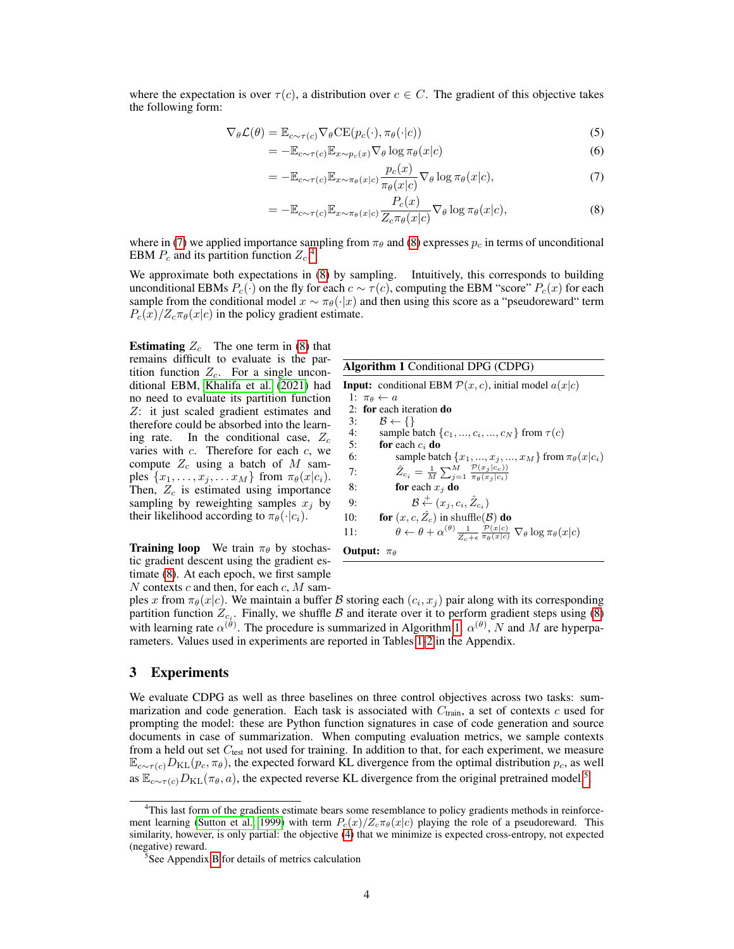where the expectation is over  $\tau(c)$ , a distribution over  $c \in C$ . The gradient of this objective takes the following form:

$$
\nabla_{\theta} \mathcal{L}(\theta) = \mathbb{E}_{c \sim \tau(c)} \nabla_{\theta} \text{CE}(p_c(\cdot), \pi_{\theta}(\cdot | c))
$$
\n(5)

$$
= -\mathbb{E}_{c \sim \tau(c)} \mathbb{E}_{x \sim p_c(x)} \nabla_{\theta} \log \pi_{\theta}(x|c)
$$
\n(6)

$$
= -\mathbb{E}_{c \sim \tau(c)} \mathbb{E}_{x \sim \pi_{\theta}(x|c)} \frac{p_c(x)}{\pi_{\theta}(x|c)} \nabla_{\theta} \log \pi_{\theta}(x|c), \tag{7}
$$

$$
= -\mathbb{E}_{c \sim \tau(c)} \mathbb{E}_{x \sim \pi_{\theta}(x|c)} \frac{P_c(x)}{Z_c \pi_{\theta}(x|c)} \nabla_{\theta} \log \pi_{\theta}(x|c), \tag{8}
$$

where in [\(7\)](#page-3-0) we applied importance sampling from  $\pi_{\theta}$  and [\(8\)](#page-3-1) expresses  $p_c$  in terms of unconditional EBM  $P_c$  and its partition function  $Z_c$ .<sup>[4](#page-0-0)</sup>

We approximate both expectations in  $(8)$  by sampling. Intuitively, this corresponds to building unconditional EBMs  $P_c(\cdot)$  on the fly for each  $c \sim \tau(c)$ , computing the EBM "score"  $P_c(x)$  for each sample from the conditional model  $x \sim \pi_{\theta}(\cdot|x)$  and then using this score as a "pseudoreward" term  $P_c(x)/Z_c\pi_\theta(x|c)$  in the policy gradient estimate.

**Estimating**  $Z_c$  The one term in [\(8\)](#page-3-1) that remains difficult to evaluate is the partition function  $Z_c$ . For a single unconditional EBM, [Khalifa et al.](#page-9-2) [\(2021\)](#page-9-2) had no need to evaluate its partition function Z: it just scaled gradient estimates and therefore could be absorbed into the learning rate. In the conditional case,  $Z_c$ varies with  $c$ . Therefore for each  $c$ , we compute  $Z_c$  using a batch of M samples  $\{x_1, \ldots, x_j, \ldots x_M\}$  from  $\pi_\theta(x|c_i)$ . Then,  $Z_c$  is estimated using importance sampling by reweighting samples  $x_j$  by their likelihood according to  $\pi_{\theta}(\cdot|c_i)$ .

<span id="page-3-2"></span><span id="page-3-1"></span><span id="page-3-0"></span>

| <b>Algorithm 1</b> Conditional DPG (CDPG)                                                                                                                              |
|------------------------------------------------------------------------------------------------------------------------------------------------------------------------|
| <b>Input:</b> conditional EBM $\mathcal{P}(x, c)$ , initial model $a(x c)$                                                                                             |
| 1: $\pi_{\theta} \leftarrow a$                                                                                                                                         |
| 2: for each iteration $do$                                                                                                                                             |
| $\mathcal{B} \leftarrow \{\}$<br>3:                                                                                                                                    |
| 4:<br>sample batch $\{c_1, , c_i, , c_N\}$ from $\tau(c)$                                                                                                              |
| 5:<br>for each $c_i$ do                                                                                                                                                |
| 6:<br>sample batch $\{x_1, , x_j, , x_M\}$ from $\pi_\theta(x c_i)$                                                                                                    |
| $\hat{Z}_{c_i} = \frac{1}{M} \sum_{j=1}^{M} \frac{\mathcal{P}(x_j c_c)}{\pi_{\theta}(x_j c_i)}$<br>7:                                                                  |
| for each $x_i$ do<br>8:                                                                                                                                                |
| $\mathcal{B} \stackrel{+}{\leftarrow} (x_i, c_i, \hat{Z}_{c_i})$<br>9:                                                                                                 |
| for $(x, c, \hat{Z}_c)$ in shuffle( $\mathcal{B}$ ) do<br>10:                                                                                                          |
| $\theta \leftarrow \theta + \alpha^{(\theta)} \frac{1}{\hat{Z}_{\text{eff}}} \frac{\mathcal{P}(x c)}{\pi_{\theta}(x c)} \nabla_{\theta} \log \pi_{\theta}(x c)$<br>11: |
| Output: $\pi_{\theta}$                                                                                                                                                 |

**Training loop** We train  $\pi_{\theta}$  by stochastic gradient descent using the gradient estimate [\(8\)](#page-3-1). At each epoch, we first sample  $N$  contexts  $c$  and then, for each  $c$ ,  $M$  sam-

ples x from  $\pi_{\theta}(x|c)$ . We maintain a buffer B storing each  $(c_i, x_j)$  pair along with its corresponding partition function  $Z_{c_i}$ . Finally, we shuffle  $\beta$  and iterate over it to perform gradient steps using [\(8\)](#page-3-1) with learning rate  $\alpha^{(\theta)}$ . The procedure is summarized in Algorithm [1.](#page-3-2)  $\alpha^{(\theta)}$ , N and M are hyperparameters. Values used in experiments are reported in Tables [1-](#page-16-0)[2](#page-16-1) in the Appendix.

# 3 Experiments

We evaluate CDPG as well as three baselines on three control objectives across two tasks: summarization and code generation. Each task is associated with  $C_{\text{train}}$ , a set of contexts c used for prompting the model: these are Python function signatures in case of code generation and source documents in case of summarization. When computing evaluation metrics, we sample contexts from a held out set  $C_{\text{test}}$  not used for training. In addition to that, for each experiment, we measure  $\mathbb{E}_{c \sim \tau(c)} D_{\text{KL}}(p_c, \pi_\theta)$ , the expected forward KL divergence from the optimal distribution  $p_c$ , as well as  $\mathbb{E}_{c \sim \tau(c)} D_{\text{KL}}(\pi_{\theta}, a)$ , the expected reverse KL divergence from the original pretrained model.<sup>[5](#page-0-0)</sup>.

<sup>4</sup>This last form of the gradients estimate bears some resemblance to policy gradients methods in reinforce-ment learning [\(Sutton et al., 1999\)](#page-11-3) with term  $P_c(x)/Z_c\pi_\theta(x|c)$  playing the role of a pseudoreward. This similarity, however, is only partial: the objective  $(4)$  that we minimize is expected cross-entropy, not expected (negative) reward.

<sup>&</sup>lt;sup>5</sup>See Appendix [B](#page-12-1) for details of metrics calculation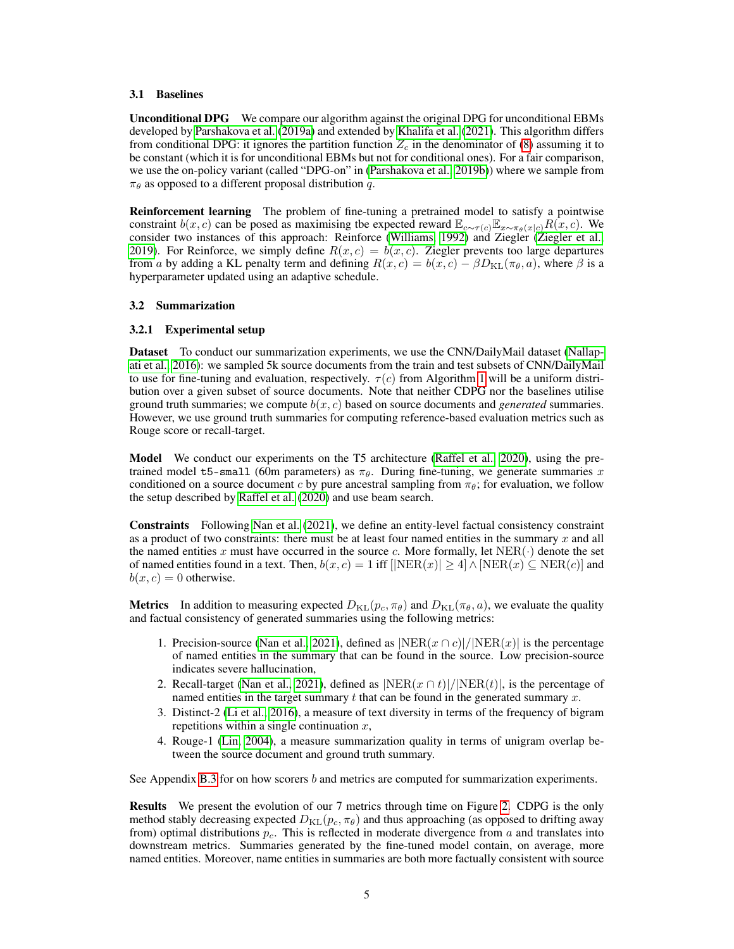### 3.1 Baselines

Unconditional DPG We compare our algorithm against the original DPG for unconditional EBMs developed by [Parshakova et al.](#page-10-4) [\(2019a\)](#page-10-4) and extended by [Khalifa et al.](#page-9-2) [\(2021\)](#page-9-2). This algorithm differs from conditional DPG: it ignores the partition function  $Z_c$  in the denominator of [\(8\)](#page-3-1) assuming it to be constant (which it is for unconditional EBMs but not for conditional ones). For a fair comparison, we use the on-policy variant (called "DPG-on" in [\(Parshakova et al., 2019b\)](#page-10-7)) where we sample from  $\pi_{\theta}$  as opposed to a different proposal distribution q.

Reinforcement learning The problem of fine-tuning a pretrained model to satisfy a pointwise constraint  $b(x, c)$  can be posed as maximising tbe expected reward  $\mathbb{E}_{c \sim \tau(c)} \mathbb{E}_{x \sim \pi_\theta(x|c)} R(x, c)$ . We consider two instances of this approach: Reinforce [\(Williams, 1992\)](#page-11-4) and Ziegler [\(Ziegler et al.,](#page-11-1) [2019\)](#page-11-1). For Reinforce, we simply define  $R(x, c) = b(x, c)$ . Ziegler prevents too large departures from a by adding a KL penalty term and defining  $R(x, c) = b(x, c) - \beta D_{\text{KL}}(\pi_{\theta}, a)$ , where  $\beta$  is a hyperparameter updated using an adaptive schedule.

### 3.2 Summarization

### 3.2.1 Experimental setup

Dataset To conduct our summarization experiments, we use the CNN/DailyMail dataset [\(Nallap](#page-10-8)[ati et al., 2016\)](#page-10-8): we sampled 5k source documents from the train and test subsets of CNN/DailyMail to use for fine-tuning and evaluation, respectively.  $\tau(c)$  from Algorithm [1](#page-3-2) will be a uniform distribution over a given subset of source documents. Note that neither CDPG nor the baselines utilise ground truth summaries; we compute  $b(x, c)$  based on source documents and *generated* summaries. However, we use ground truth summaries for computing reference-based evaluation metrics such as Rouge score or recall-target.

Model We conduct our experiments on the T5 architecture [\(Raffel et al., 2020\)](#page-10-1), using the pretrained model t5-small (60m parameters) as  $\pi_{\theta}$ . During fine-tuning, we generate summaries x conditioned on a source document c by pure ancestral sampling from  $\pi_{\theta}$ ; for evaluation, we follow the setup described by [Raffel et al.](#page-10-1) [\(2020\)](#page-10-1) and use beam search.

Constraints Following [Nan et al.](#page-10-6) [\(2021\)](#page-10-6), we define an entity-level factual consistency constraint as a product of two constraints: there must be at least four named entities in the summary  $x$  and all the named entities x must have occurred in the source c. More formally, let  $NER(\cdot)$  denote the set of named entities found in a text. Then,  $b(x, c) = 1$  iff  $|\text{NER}(x)| \ge 4 \wedge |\text{NER}(x) \subseteq \text{NER}(c)|$  and  $b(x, c) = 0$  otherwise.

**Metrics** In addition to measuring expected  $D_{KL}(p_c, \pi_{\theta})$  and  $D_{KL}(\pi_{\theta}, a)$ , we evaluate the quality and factual consistency of generated summaries using the following metrics:

- 1. Precision-source [\(Nan et al., 2021\)](#page-10-6), defined as  $|\text{NER}(x \cap c)|/|\text{NER}(x)|$  is the percentage of named entities in the summary that can be found in the source. Low precision-source indicates severe hallucination,
- 2. Recall-target [\(Nan et al., 2021\)](#page-10-6), defined as  $|\text{NER}(x \cap t)|/|\text{NER}(t)|$ , is the percentage of named entities in the target summary  $t$  that can be found in the generated summary  $x$ .
- 3. Distinct-2 [\(Li et al., 2016\)](#page-9-5), a measure of text diversity in terms of the frequency of bigram repetitions within a single continuation  $x$ ,
- 4. Rouge-1 [\(Lin, 2004\)](#page-9-6), a measure summarization quality in terms of unigram overlap between the source document and ground truth summary.

See Appendix [B.3](#page-13-0) for on how scorers b and metrics are computed for summarization experiments.

Results We present the evolution of our 7 metrics through time on Figure [2.](#page-5-0) CDPG is the only method stably decreasing expected  $D_{KL}(p_c, \pi_\theta)$  and thus approaching (as opposed to drifting away from) optimal distributions  $p_c$ . This is reflected in moderate divergence from a and translates into downstream metrics. Summaries generated by the fine-tuned model contain, on average, more named entities. Moreover, name entities in summaries are both more factually consistent with source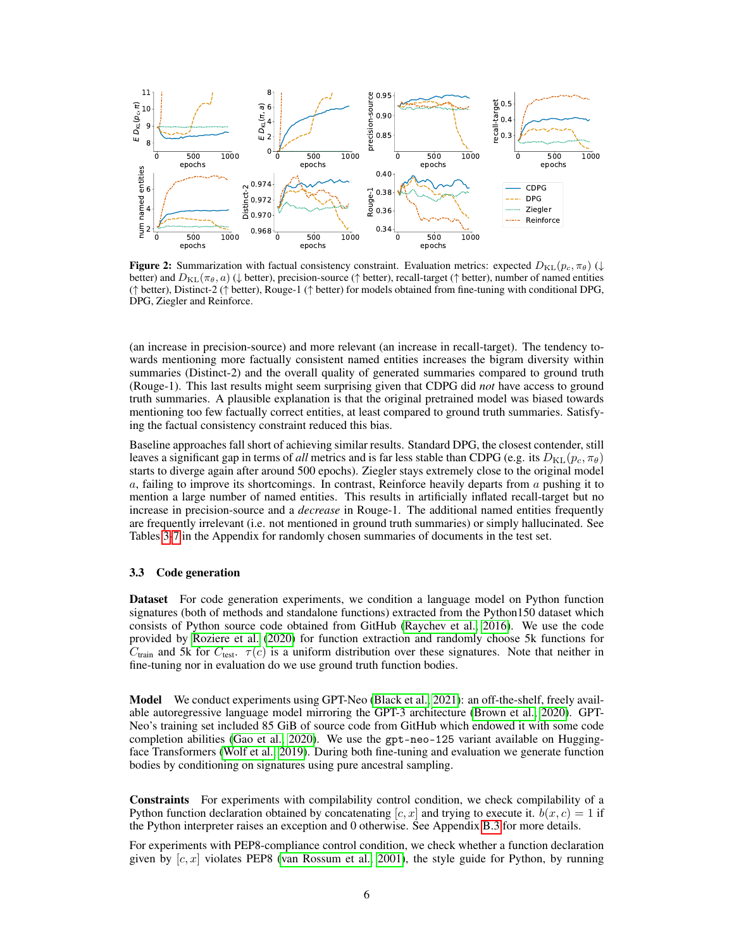<span id="page-5-0"></span>

**Figure 2:** Summarization with factual consistency constraint. Evaluation metrics: expected  $D_{\text{KL}}(p_c, \pi_\theta)$  ( $\downarrow$ better) and  $D_{\text{KL}}(\pi_{\theta}, a)$  ( $\downarrow$  better), precision-source († better), recall-target († better), number of named entities (↑ better), Distinct-2 (↑ better), Rouge-1 (↑ better) for models obtained from fine-tuning with conditional DPG, DPG, Ziegler and Reinforce.

(an increase in precision-source) and more relevant (an increase in recall-target). The tendency towards mentioning more factually consistent named entities increases the bigram diversity within summaries (Distinct-2) and the overall quality of generated summaries compared to ground truth (Rouge-1). This last results might seem surprising given that CDPG did *not* have access to ground truth summaries. A plausible explanation is that the original pretrained model was biased towards mentioning too few factually correct entities, at least compared to ground truth summaries. Satisfying the factual consistency constraint reduced this bias.

Baseline approaches fall short of achieving similar results. Standard DPG, the closest contender, still leaves a significant gap in terms of *all* metrics and is far less stable than CDPG (e.g. its  $D_{\text{KL}}(p_c, \pi_\theta)$ ) starts to diverge again after around 500 epochs). Ziegler stays extremely close to the original model  $a$ , failing to improve its shortcomings. In contrast, Reinforce heavily departs from  $a$  pushing it to mention a large number of named entities. This results in artificially inflated recall-target but no increase in precision-source and a *decrease* in Rouge-1. The additional named entities frequently are frequently irrelevant (i.e. not mentioned in ground truth summaries) or simply hallucinated. See Tables [3-](#page-18-0)[7](#page-22-0) in the Appendix for randomly chosen summaries of documents in the test set.

### 3.3 Code generation

Dataset For code generation experiments, we condition a language model on Python function signatures (both of methods and standalone functions) extracted from the Python150 dataset which consists of Python source code obtained from GitHub [\(Raychev et al., 2016\)](#page-11-5). We use the code provided by [Roziere et al.](#page-11-6) [\(2020\)](#page-11-6) for function extraction and randomly choose 5k functions for  $C_{\text{train}}$  and 5k for  $C_{\text{test}}$ .  $\tau(c)$  is a uniform distribution over these signatures. Note that neither in fine-tuning nor in evaluation do we use ground truth function bodies.

Model We conduct experiments using GPT-Neo [\(Black et al., 2021\)](#page-8-1): an off-the-shelf, freely available autoregressive language model mirroring the GPT-3 architecture [\(Brown et al., 2020\)](#page-8-0). GPT-Neo's training set included 85 GiB of source code from GitHub which endowed it with some code completion abilities [\(Gao et al., 2020\)](#page-9-7). We use the gpt-neo-125 variant available on Huggingface Transformers [\(Wolf et al., 2019\)](#page-11-7). During both fine-tuning and evaluation we generate function bodies by conditioning on signatures using pure ancestral sampling.

Constraints For experiments with compilability control condition, we check compilability of a Python function declaration obtained by concatenating  $[c, x]$  and trying to execute it.  $b(x, c) = 1$  if the Python interpreter raises an exception and 0 otherwise. See Appendix [B.3](#page-13-0) for more details.

For experiments with PEP8-compliance control condition, we check whether a function declaration given by  $[c, x]$  violates PEP8 [\(van Rossum et al., 2001\)](#page-11-0), the style guide for Python, by running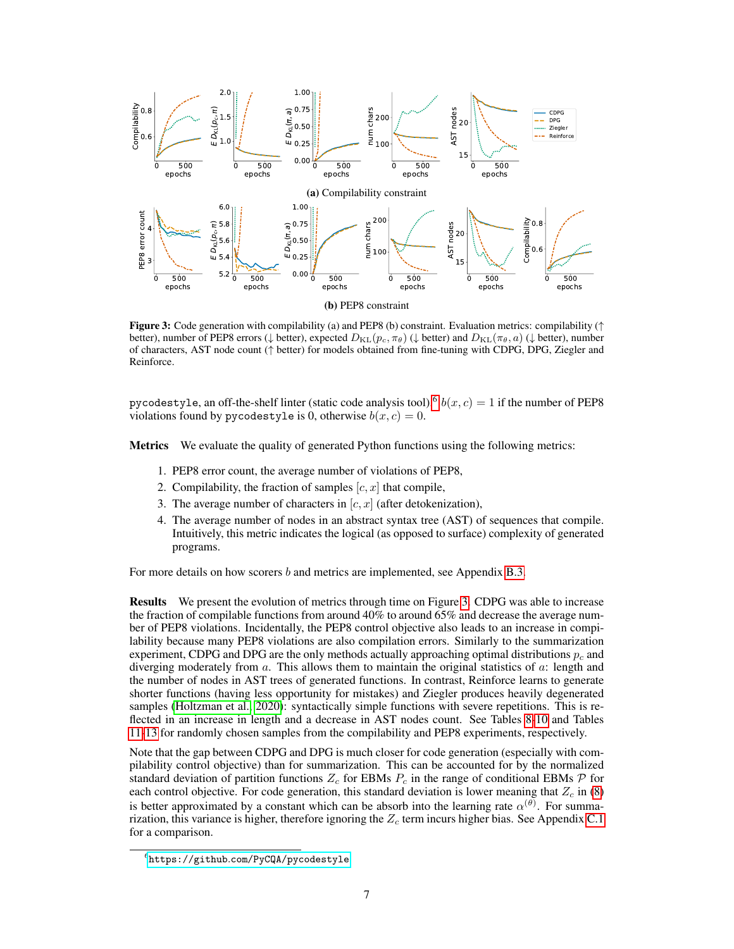<span id="page-6-0"></span>

Figure 3: Code generation with compilability (a) and PEP8 (b) constraint. Evaluation metrics: compilability (↑ better), number of PEP8 errors ( $\downarrow$  better), expected  $D_{KL}(p_c, \pi_\theta)$  ( $\downarrow$  better) and  $D_{KL}(\pi_\theta, a)$  ( $\downarrow$  better), number of characters, AST node count (↑ better) for models obtained from fine-tuning with CDPG, DPG, Ziegler and Reinforce.

pycodestyle, an off-the-shelf linter (static code analysis tool).<sup>[6](#page-0-0)</sup>  $b(x, c) = 1$  if the number of PEP8 violations found by pycodestyle is 0, otherwise  $b(x, c) = 0$ .

Metrics We evaluate the quality of generated Python functions using the following metrics:

- 1. PEP8 error count, the average number of violations of PEP8,
- 2. Compilability, the fraction of samples  $[c, x]$  that compile,
- 3. The average number of characters in  $[c, x]$  (after detokenization),
- 4. The average number of nodes in an abstract syntax tree (AST) of sequences that compile. Intuitively, this metric indicates the logical (as opposed to surface) complexity of generated programs.

For more details on how scorers b and metrics are implemented, see Appendix [B.3.](#page-13-0)

Results We present the evolution of metrics through time on Figure [3.](#page-6-0) CDPG was able to increase the fraction of compilable functions from around 40% to around 65% and decrease the average number of PEP8 violations. Incidentally, the PEP8 control objective also leads to an increase in compilability because many PEP8 violations are also compilation errors. Similarly to the summarization experiment, CDPG and DPG are the only methods actually approaching optimal distributions  $p_c$  and diverging moderately from  $a$ . This allows them to maintain the original statistics of  $a$ : length and the number of nodes in AST trees of generated functions. In contrast, Reinforce learns to generate shorter functions (having less opportunity for mistakes) and Ziegler produces heavily degenerated samples [\(Holtzman et al., 2020\)](#page-9-3): syntactically simple functions with severe repetitions. This is reflected in an increase in length and a decrease in AST nodes count. See Tables [8-](#page-23-0)[10](#page-25-0) and Tables [11](#page-26-0)[-13](#page-28-0) for randomly chosen samples from the compilability and PEP8 experiments, respectively.

Note that the gap between CDPG and DPG is much closer for code generation (especially with compilability control objective) than for summarization. This can be accounted for by the normalized standard deviation of partition functions  $Z_c$  for EBMs  $P_c$  in the range of conditional EBMs  $P$  for each control objective. For code generation, this standard deviation is lower meaning that  $Z_c$  in [\(8\)](#page-3-1) is better approximated by a constant which can be absorb into the learning rate  $\alpha^{(\theta)}$ . For summarization, this variance is higher, therefore ignoring the  $Z_c$  term incurs higher bias. See Appendix [C.1](#page-14-0) for a comparison.

 $^6$ https://github.[com/PyCQA/pycodestyle](https://github.com/PyCQA/pycodestyle)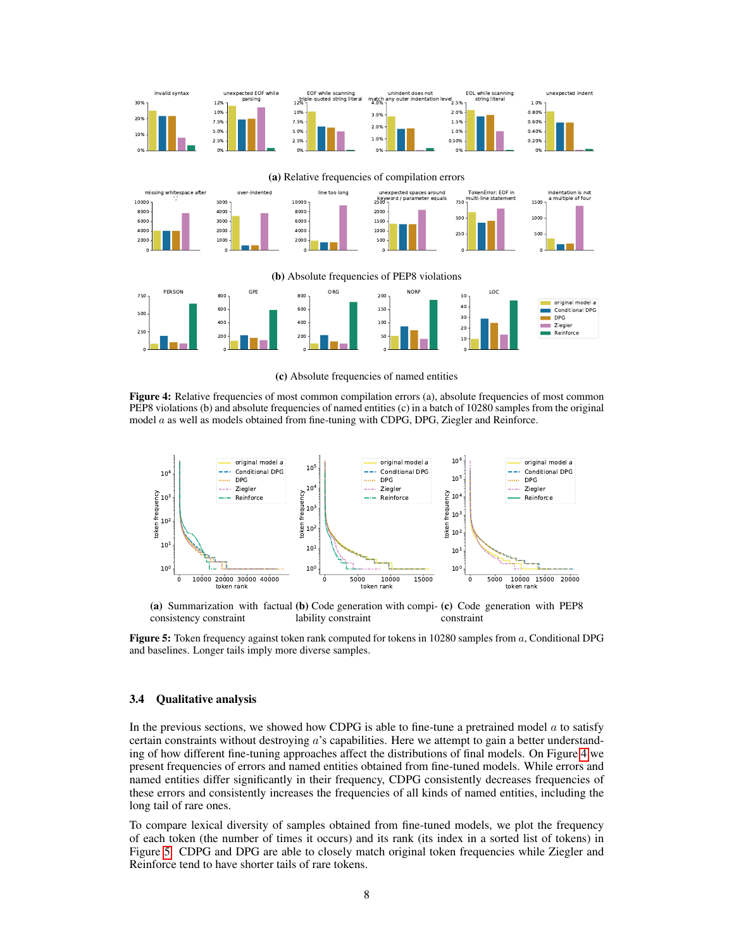<span id="page-7-0"></span>

(c) Absolute frequencies of named entities

Figure 4: Relative frequencies of most common compilation errors (a), absolute frequencies of most common PEP8 violations (b) and absolute frequencies of named entities (c) in a batch of 10280 samples from the original model a as well as models obtained from fine-tuning with CDPG, DPG, Ziegler and Reinforce.

<span id="page-7-1"></span>

(a) Summarization with factual (b) Code generation with compi- (c) Code generation with PEP8 consistency constraint lability constraint constraint

Figure 5: Token frequency against token rank computed for tokens in  $10280$  samples from  $a$ , Conditional DPG and baselines. Longer tails imply more diverse samples.

### 3.4 Qualitative analysis

In the previous sections, we showed how CDPG is able to fine-tune a pretrained model  $\alpha$  to satisfy certain constraints without destroying a's capabilities. Here we attempt to gain a better understanding of how different fine-tuning approaches affect the distributions of final models. On Figure [4](#page-7-0) we present frequencies of errors and named entities obtained from fine-tuned models. While errors and named entities differ significantly in their frequency, CDPG consistently decreases frequencies of these errors and consistently increases the frequencies of all kinds of named entities, including the long tail of rare ones.

To compare lexical diversity of samples obtained from fine-tuned models, we plot the frequency of each token (the number of times it occurs) and its rank (its index in a sorted list of tokens) in Figure [5.](#page-7-1) CDPG and DPG are able to closely match original token frequencies while Ziegler and Reinforce tend to have shorter tails of rare tokens.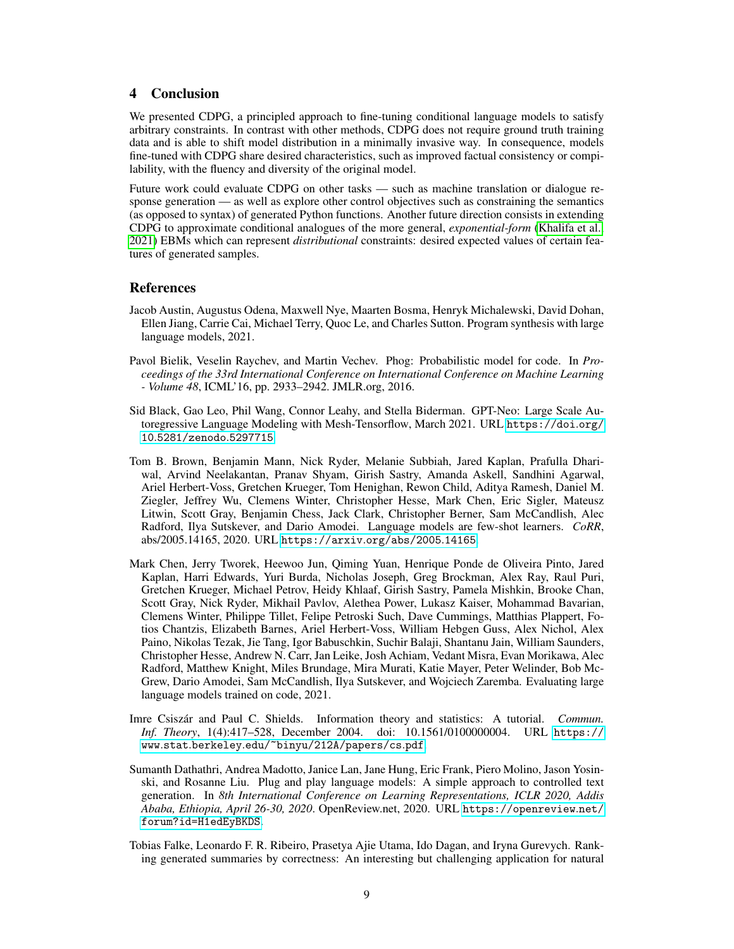# 4 Conclusion

We presented CDPG, a principled approach to fine-tuning conditional language models to satisfy arbitrary constraints. In contrast with other methods, CDPG does not require ground truth training data and is able to shift model distribution in a minimally invasive way. In consequence, models fine-tuned with CDPG share desired characteristics, such as improved factual consistency or compilability, with the fluency and diversity of the original model.

Future work could evaluate CDPG on other tasks — such as machine translation or dialogue response generation — as well as explore other control objectives such as constraining the semantics (as opposed to syntax) of generated Python functions. Another future direction consists in extending CDPG to approximate conditional analogues of the more general, *exponential-form* [\(Khalifa et al.,](#page-9-2) [2021\)](#page-9-2) EBMs which can represent *distributional* constraints: desired expected values of certain features of generated samples.

## References

- <span id="page-8-4"></span>Jacob Austin, Augustus Odena, Maxwell Nye, Maarten Bosma, Henryk Michalewski, David Dohan, Ellen Jiang, Carrie Cai, Michael Terry, Quoc Le, and Charles Sutton. Program synthesis with large language models, 2021.
- <span id="page-8-7"></span>Pavol Bielik, Veselin Raychev, and Martin Vechev. Phog: Probabilistic model for code. In *Proceedings of the 33rd International Conference on International Conference on Machine Learning - Volume 48*, ICML'16, pp. 2933–2942. JMLR.org, 2016.
- <span id="page-8-1"></span>Sid Black, Gao Leo, Phil Wang, Connor Leahy, and Stella Biderman. GPT-Neo: Large Scale Autoregressive Language Modeling with Mesh-Tensorflow, March 2021. URL [https://doi](https://doi.org/10.5281/zenodo.5297715).org/ 10.[5281/zenodo](https://doi.org/10.5281/zenodo.5297715).5297715.
- <span id="page-8-0"></span>Tom B. Brown, Benjamin Mann, Nick Ryder, Melanie Subbiah, Jared Kaplan, Prafulla Dhariwal, Arvind Neelakantan, Pranav Shyam, Girish Sastry, Amanda Askell, Sandhini Agarwal, Ariel Herbert-Voss, Gretchen Krueger, Tom Henighan, Rewon Child, Aditya Ramesh, Daniel M. Ziegler, Jeffrey Wu, Clemens Winter, Christopher Hesse, Mark Chen, Eric Sigler, Mateusz Litwin, Scott Gray, Benjamin Chess, Jack Clark, Christopher Berner, Sam McCandlish, Alec Radford, Ilya Sutskever, and Dario Amodei. Language models are few-shot learners. *CoRR*, abs/2005.14165, 2020. URL [https://arxiv](https://arxiv.org/abs/2005.14165).org/abs/2005.14165.
- <span id="page-8-2"></span>Mark Chen, Jerry Tworek, Heewoo Jun, Qiming Yuan, Henrique Ponde de Oliveira Pinto, Jared Kaplan, Harri Edwards, Yuri Burda, Nicholas Joseph, Greg Brockman, Alex Ray, Raul Puri, Gretchen Krueger, Michael Petrov, Heidy Khlaaf, Girish Sastry, Pamela Mishkin, Brooke Chan, Scott Gray, Nick Ryder, Mikhail Pavlov, Alethea Power, Lukasz Kaiser, Mohammad Bavarian, Clemens Winter, Philippe Tillet, Felipe Petroski Such, Dave Cummings, Matthias Plappert, Fotios Chantzis, Elizabeth Barnes, Ariel Herbert-Voss, William Hebgen Guss, Alex Nichol, Alex Paino, Nikolas Tezak, Jie Tang, Igor Babuschkin, Suchir Balaji, Shantanu Jain, William Saunders, Christopher Hesse, Andrew N. Carr, Jan Leike, Josh Achiam, Vedant Misra, Evan Morikawa, Alec Radford, Matthew Knight, Miles Brundage, Mira Murati, Katie Mayer, Peter Welinder, Bob Mc-Grew, Dario Amodei, Sam McCandlish, Ilya Sutskever, and Wojciech Zaremba. Evaluating large language models trained on code, 2021.
- <span id="page-8-5"></span>Imre Csiszár and Paul C. Shields. Information theory and statistics: A tutorial. *Commun. Inf. Theory*, 1(4):417–528, December 2004. doi: 10.1561/0100000004. URL [https://](https://www.stat.berkeley.edu/~binyu/212A/papers/cs.pdf) www.stat.berkeley.[edu/~binyu/212A/papers/cs](https://www.stat.berkeley.edu/~binyu/212A/papers/cs.pdf).pdf.
- <span id="page-8-3"></span>Sumanth Dathathri, Andrea Madotto, Janice Lan, Jane Hung, Eric Frank, Piero Molino, Jason Yosinski, and Rosanne Liu. Plug and play language models: A simple approach to controlled text generation. In *8th International Conference on Learning Representations, ICLR 2020, Addis Ababa, Ethiopia, April 26-30, 2020*. OpenReview.net, 2020. URL [https://openreview](https://openreview.net/forum?id=H1edEyBKDS).net/ [forum?id=H1edEyBKDS](https://openreview.net/forum?id=H1edEyBKDS).
- <span id="page-8-6"></span>Tobias Falke, Leonardo F. R. Ribeiro, Prasetya Ajie Utama, Ido Dagan, and Iryna Gurevych. Ranking generated summaries by correctness: An interesting but challenging application for natural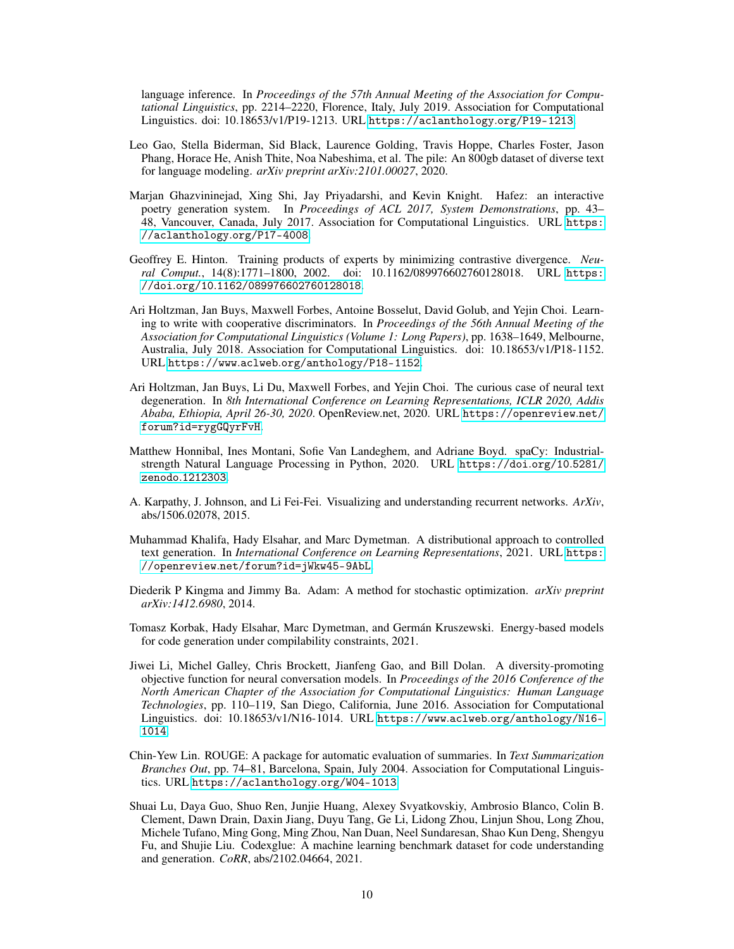language inference. In *Proceedings of the 57th Annual Meeting of the Association for Computational Linguistics*, pp. 2214–2220, Florence, Italy, July 2019. Association for Computational Linguistics. doi: 10.18653/v1/P19-1213. URL [https://aclanthology](https://aclanthology.org/P19-1213).org/P19-1213.

- <span id="page-9-7"></span>Leo Gao, Stella Biderman, Sid Black, Laurence Golding, Travis Hoppe, Charles Foster, Jason Phang, Horace He, Anish Thite, Noa Nabeshima, et al. The pile: An 800gb dataset of diverse text for language modeling. *arXiv preprint arXiv:2101.00027*, 2020.
- <span id="page-9-0"></span>Marjan Ghazvininejad, Xing Shi, Jay Priyadarshi, and Kevin Knight. Hafez: an interactive poetry generation system. In *Proceedings of ACL 2017, System Demonstrations*, pp. 43– 48, Vancouver, Canada, July 2017. Association for Computational Linguistics. URL [https:](https://aclanthology.org/P17-4008) [//aclanthology](https://aclanthology.org/P17-4008).org/P17-4008.
- <span id="page-9-4"></span>Geoffrey E. Hinton. Training products of experts by minimizing contrastive divergence. *Neural Comput.*, 14(8):1771–1800, 2002. doi: 10.1162/089976602760128018. URL [https:](https://doi.org/10.1162/089976602760128018) //doi.org/10.[1162/089976602760128018](https://doi.org/10.1162/089976602760128018).
- <span id="page-9-1"></span>Ari Holtzman, Jan Buys, Maxwell Forbes, Antoine Bosselut, David Golub, and Yejin Choi. Learning to write with cooperative discriminators. In *Proceedings of the 56th Annual Meeting of the Association for Computational Linguistics (Volume 1: Long Papers)*, pp. 1638–1649, Melbourne, Australia, July 2018. Association for Computational Linguistics. doi: 10.18653/v1/P18-1152. URL https://www.aclweb.[org/anthology/P18-1152](https://www.aclweb.org/anthology/P18-1152).
- <span id="page-9-3"></span>Ari Holtzman, Jan Buys, Li Du, Maxwell Forbes, and Yejin Choi. The curious case of neural text degeneration. In *8th International Conference on Learning Representations, ICLR 2020, Addis Ababa, Ethiopia, April 26-30, 2020*. OpenReview.net, 2020. URL [https://openreview](https://openreview.net/forum?id=rygGQyrFvH).net/ [forum?id=rygGQyrFvH](https://openreview.net/forum?id=rygGQyrFvH).
- <span id="page-9-11"></span>Matthew Honnibal, Ines Montani, Sofie Van Landeghem, and Adriane Boyd. spaCy: Industrialstrength Natural Language Processing in Python, 2020. URL [https://doi](https://doi.org/10.5281/zenodo.1212303).org/10.5281/ zenodo.[1212303](https://doi.org/10.5281/zenodo.1212303).
- <span id="page-9-8"></span>A. Karpathy, J. Johnson, and Li Fei-Fei. Visualizing and understanding recurrent networks. *ArXiv*, abs/1506.02078, 2015.
- <span id="page-9-2"></span>Muhammad Khalifa, Hady Elsahar, and Marc Dymetman. A distributional approach to controlled text generation. In *International Conference on Learning Representations*, 2021. URL [https:](https://openreview.net/forum?id=jWkw45-9AbL) //openreview.[net/forum?id=jWkw45-9AbL](https://openreview.net/forum?id=jWkw45-9AbL).
- <span id="page-9-12"></span>Diederik P Kingma and Jimmy Ba. Adam: A method for stochastic optimization. *arXiv preprint arXiv:1412.6980*, 2014.
- <span id="page-9-10"></span>Tomasz Korbak, Hady Elsahar, Marc Dymetman, and Germán Kruszewski. Energy-based models for code generation under compilability constraints, 2021.
- <span id="page-9-5"></span>Jiwei Li, Michel Galley, Chris Brockett, Jianfeng Gao, and Bill Dolan. A diversity-promoting objective function for neural conversation models. In *Proceedings of the 2016 Conference of the North American Chapter of the Association for Computational Linguistics: Human Language Technologies*, pp. 110–119, San Diego, California, June 2016. Association for Computational Linguistics. doi: 10.18653/v1/N16-1014. URL https://www.aclweb.[org/anthology/N16-](https://www.aclweb.org/anthology/N16-1014) [1014](https://www.aclweb.org/anthology/N16-1014).
- <span id="page-9-6"></span>Chin-Yew Lin. ROUGE: A package for automatic evaluation of summaries. In *Text Summarization Branches Out*, pp. 74–81, Barcelona, Spain, July 2004. Association for Computational Linguistics. URL [https://aclanthology](https://aclanthology.org/W04-1013).org/W04-1013.
- <span id="page-9-9"></span>Shuai Lu, Daya Guo, Shuo Ren, Junjie Huang, Alexey Svyatkovskiy, Ambrosio Blanco, Colin B. Clement, Dawn Drain, Daxin Jiang, Duyu Tang, Ge Li, Lidong Zhou, Linjun Shou, Long Zhou, Michele Tufano, Ming Gong, Ming Zhou, Nan Duan, Neel Sundaresan, Shao Kun Deng, Shengyu Fu, and Shujie Liu. Codexglue: A machine learning benchmark dataset for code understanding and generation. *CoRR*, abs/2102.04664, 2021.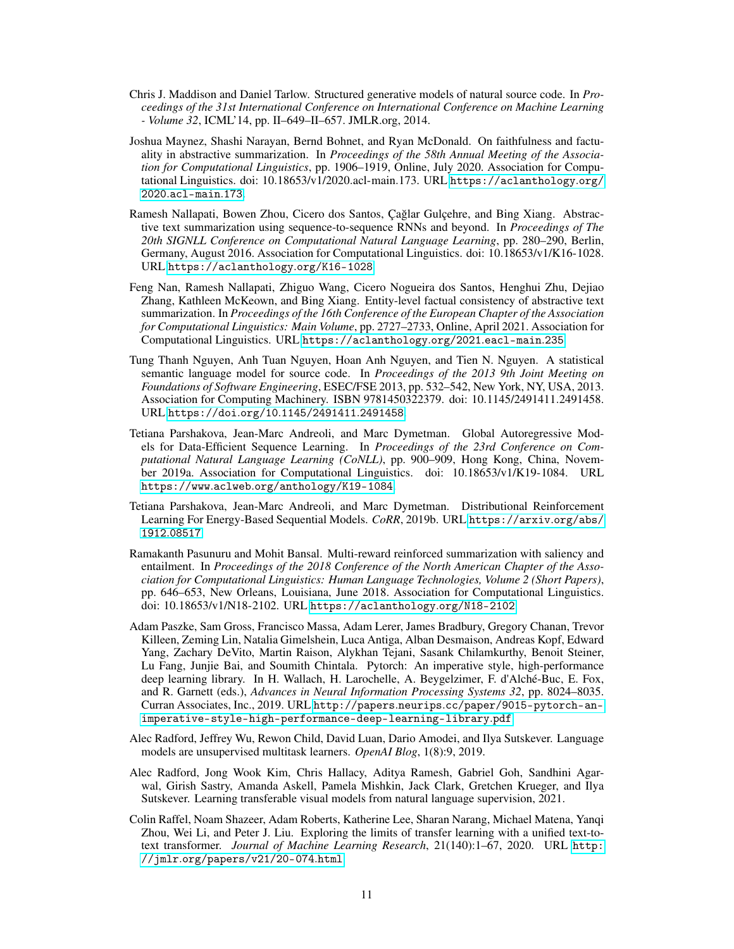- <span id="page-10-10"></span>Chris J. Maddison and Daniel Tarlow. Structured generative models of natural source code. In *Proceedings of the 31st International Conference on International Conference on Machine Learning - Volume 32*, ICML'14, pp. II–649–II–657. JMLR.org, 2014.
- <span id="page-10-5"></span>Joshua Maynez, Shashi Narayan, Bernd Bohnet, and Ryan McDonald. On faithfulness and factuality in abstractive summarization. In *Proceedings of the 58th Annual Meeting of the Association for Computational Linguistics*, pp. 1906–1919, Online, July 2020. Association for Computational Linguistics. doi: 10.18653/v1/2020.acl-main.173. URL [https://aclanthology](https://aclanthology.org/2020.acl-main.173).org/ 2020.[acl-main](https://aclanthology.org/2020.acl-main.173).173.
- <span id="page-10-8"></span>Ramesh Nallapati, Bowen Zhou, Cicero dos Santos, Çaglar Gulçehre, and Bing Xiang. Abstrac- ˘ tive text summarization using sequence-to-sequence RNNs and beyond. In *Proceedings of The 20th SIGNLL Conference on Computational Natural Language Learning*, pp. 280–290, Berlin, Germany, August 2016. Association for Computational Linguistics. doi: 10.18653/v1/K16-1028. URL [https://aclanthology](https://aclanthology.org/K16-1028).org/K16-1028.
- <span id="page-10-6"></span>Feng Nan, Ramesh Nallapati, Zhiguo Wang, Cicero Nogueira dos Santos, Henghui Zhu, Dejiao Zhang, Kathleen McKeown, and Bing Xiang. Entity-level factual consistency of abstractive text summarization. In *Proceedings of the 16th Conference of the European Chapter of the Association for Computational Linguistics: Main Volume*, pp. 2727–2733, Online, April 2021. Association for Computational Linguistics. URL [https://aclanthology](https://aclanthology.org/2021.eacl-main.235).org/2021.eacl-main.235.
- <span id="page-10-9"></span>Tung Thanh Nguyen, Anh Tuan Nguyen, Hoan Anh Nguyen, and Tien N. Nguyen. A statistical semantic language model for source code. In *Proceedings of the 2013 9th Joint Meeting on Foundations of Software Engineering*, ESEC/FSE 2013, pp. 532–542, New York, NY, USA, 2013. Association for Computing Machinery. ISBN 9781450322379. doi: 10.1145/2491411.2491458. URL https://doi.org/10.[1145/2491411](https://doi.org/10.1145/2491411.2491458).2491458.
- <span id="page-10-4"></span>Tetiana Parshakova, Jean-Marc Andreoli, and Marc Dymetman. Global Autoregressive Models for Data-Efficient Sequence Learning. In *Proceedings of the 23rd Conference on Computational Natural Language Learning (CoNLL)*, pp. 900–909, Hong Kong, China, November 2019a. Association for Computational Linguistics. doi: 10.18653/v1/K19-1084. URL https://www.aclweb.[org/anthology/K19-1084](https://www.aclweb.org/anthology/K19-1084).
- <span id="page-10-7"></span>Tetiana Parshakova, Jean-Marc Andreoli, and Marc Dymetman. Distributional Reinforcement Learning For Energy-Based Sequential Models. *CoRR*, 2019b. URL [https://arxiv](https://arxiv.org/abs/1912.08517).org/abs/ 1912.[08517](https://arxiv.org/abs/1912.08517).
- <span id="page-10-3"></span>Ramakanth Pasunuru and Mohit Bansal. Multi-reward reinforced summarization with saliency and entailment. In *Proceedings of the 2018 Conference of the North American Chapter of the Association for Computational Linguistics: Human Language Technologies, Volume 2 (Short Papers)*, pp. 646–653, New Orleans, Louisiana, June 2018. Association for Computational Linguistics. doi: 10.18653/v1/N18-2102. URL [https://aclanthology](https://aclanthology.org/N18-2102).org/N18-2102.
- <span id="page-10-11"></span>Adam Paszke, Sam Gross, Francisco Massa, Adam Lerer, James Bradbury, Gregory Chanan, Trevor Killeen, Zeming Lin, Natalia Gimelshein, Luca Antiga, Alban Desmaison, Andreas Kopf, Edward Yang, Zachary DeVito, Martin Raison, Alykhan Tejani, Sasank Chilamkurthy, Benoit Steiner, Lu Fang, Junjie Bai, and Soumith Chintala. Pytorch: An imperative style, high-performance deep learning library. In H. Wallach, H. Larochelle, A. Beygelzimer, F. d'Alché-Buc, E. Fox, and R. Garnett (eds.), *Advances in Neural Information Processing Systems 32*, pp. 8024–8035. Curran Associates, Inc., 2019. URL http://papers.neurips.[cc/paper/9015-pytorch-an](http://papers.neurips.cc/paper/9015-pytorch-an-imperative-style-high-performance-deep-learning-library.pdf)[imperative-style-high-performance-deep-learning-library](http://papers.neurips.cc/paper/9015-pytorch-an-imperative-style-high-performance-deep-learning-library.pdf).pdf.
- <span id="page-10-0"></span>Alec Radford, Jeffrey Wu, Rewon Child, David Luan, Dario Amodei, and Ilya Sutskever. Language models are unsupervised multitask learners. *OpenAI Blog*, 1(8):9, 2019.
- <span id="page-10-2"></span>Alec Radford, Jong Wook Kim, Chris Hallacy, Aditya Ramesh, Gabriel Goh, Sandhini Agarwal, Girish Sastry, Amanda Askell, Pamela Mishkin, Jack Clark, Gretchen Krueger, and Ilya Sutskever. Learning transferable visual models from natural language supervision, 2021.
- <span id="page-10-1"></span>Colin Raffel, Noam Shazeer, Adam Roberts, Katherine Lee, Sharan Narang, Michael Matena, Yanqi Zhou, Wei Li, and Peter J. Liu. Exploring the limits of transfer learning with a unified text-totext transformer. *Journal of Machine Learning Research*, 21(140):1–67, 2020. URL [http:](http://jmlr.org/papers/v21/20-074.html) //jmlr.[org/papers/v21/20-074](http://jmlr.org/papers/v21/20-074.html).html.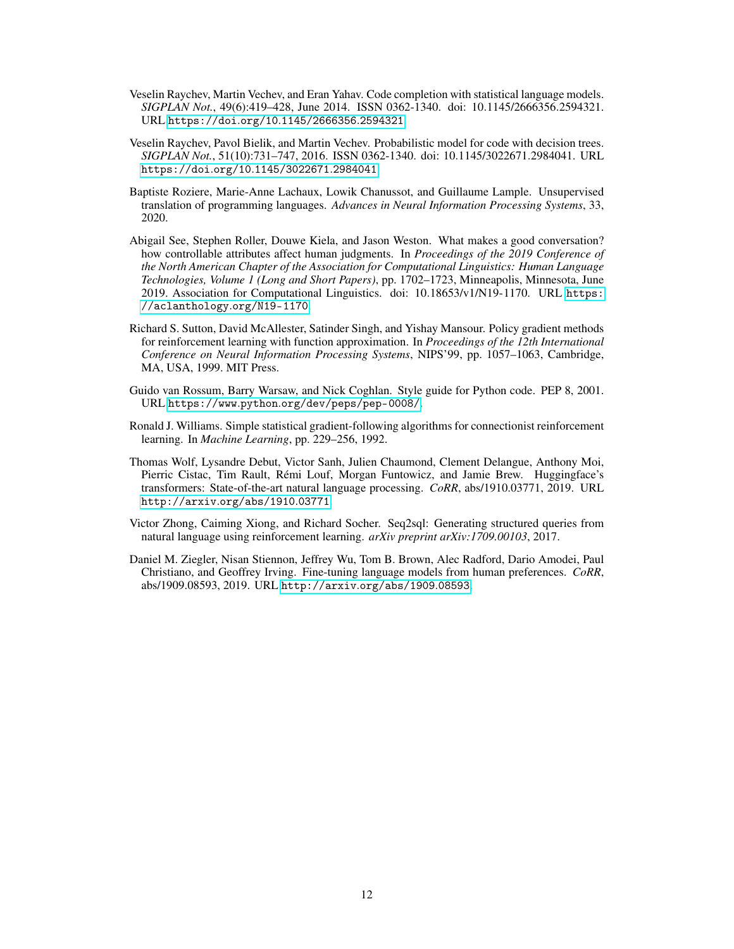- <span id="page-11-8"></span>Veselin Raychev, Martin Vechev, and Eran Yahav. Code completion with statistical language models. *SIGPLAN Not.*, 49(6):419–428, June 2014. ISSN 0362-1340. doi: 10.1145/2666356.2594321. URL https://doi.org/10.[1145/2666356](https://doi.org/10.1145/2666356.2594321).2594321.
- <span id="page-11-5"></span>Veselin Raychev, Pavol Bielik, and Martin Vechev. Probabilistic model for code with decision trees. *SIGPLAN Not.*, 51(10):731–747, 2016. ISSN 0362-1340. doi: 10.1145/3022671.2984041. URL https://doi.org/10.[1145/3022671](https://doi.org/10.1145/3022671.2984041).2984041.
- <span id="page-11-6"></span>Baptiste Roziere, Marie-Anne Lachaux, Lowik Chanussot, and Guillaume Lample. Unsupervised translation of programming languages. *Advances in Neural Information Processing Systems*, 33, 2020.
- <span id="page-11-2"></span>Abigail See, Stephen Roller, Douwe Kiela, and Jason Weston. What makes a good conversation? how controllable attributes affect human judgments. In *Proceedings of the 2019 Conference of the North American Chapter of the Association for Computational Linguistics: Human Language Technologies, Volume 1 (Long and Short Papers)*, pp. 1702–1723, Minneapolis, Minnesota, June 2019. Association for Computational Linguistics. doi: 10.18653/v1/N19-1170. URL [https:](https://aclanthology.org/N19-1170) [//aclanthology](https://aclanthology.org/N19-1170).org/N19-1170.
- <span id="page-11-3"></span>Richard S. Sutton, David McAllester, Satinder Singh, and Yishay Mansour. Policy gradient methods for reinforcement learning with function approximation. In *Proceedings of the 12th International Conference on Neural Information Processing Systems*, NIPS'99, pp. 1057–1063, Cambridge, MA, USA, 1999. MIT Press.
- <span id="page-11-0"></span>Guido van Rossum, Barry Warsaw, and Nick Coghlan. Style guide for Python code. PEP 8, 2001. URL https://www.python.[org/dev/peps/pep-0008/](https://www.python.org/dev/peps/pep-0008/).
- <span id="page-11-4"></span>Ronald J. Williams. Simple statistical gradient-following algorithms for connectionist reinforcement learning. In *Machine Learning*, pp. 229–256, 1992.
- <span id="page-11-7"></span>Thomas Wolf, Lysandre Debut, Victor Sanh, Julien Chaumond, Clement Delangue, Anthony Moi, Pierric Cistac, Tim Rault, Rémi Louf, Morgan Funtowicz, and Jamie Brew. Huggingface's transformers: State-of-the-art natural language processing. *CoRR*, abs/1910.03771, 2019. URL [http://arxiv](http://arxiv.org/abs/1910.03771).org/abs/1910.03771.
- <span id="page-11-9"></span>Victor Zhong, Caiming Xiong, and Richard Socher. Seq2sql: Generating structured queries from natural language using reinforcement learning. *arXiv preprint arXiv:1709.00103*, 2017.
- <span id="page-11-1"></span>Daniel M. Ziegler, Nisan Stiennon, Jeffrey Wu, Tom B. Brown, Alec Radford, Dario Amodei, Paul Christiano, and Geoffrey Irving. Fine-tuning language models from human preferences. *CoRR*, abs/1909.08593, 2019. URL [http://arxiv](http://arxiv.org/abs/1909.08593).org/abs/1909.08593.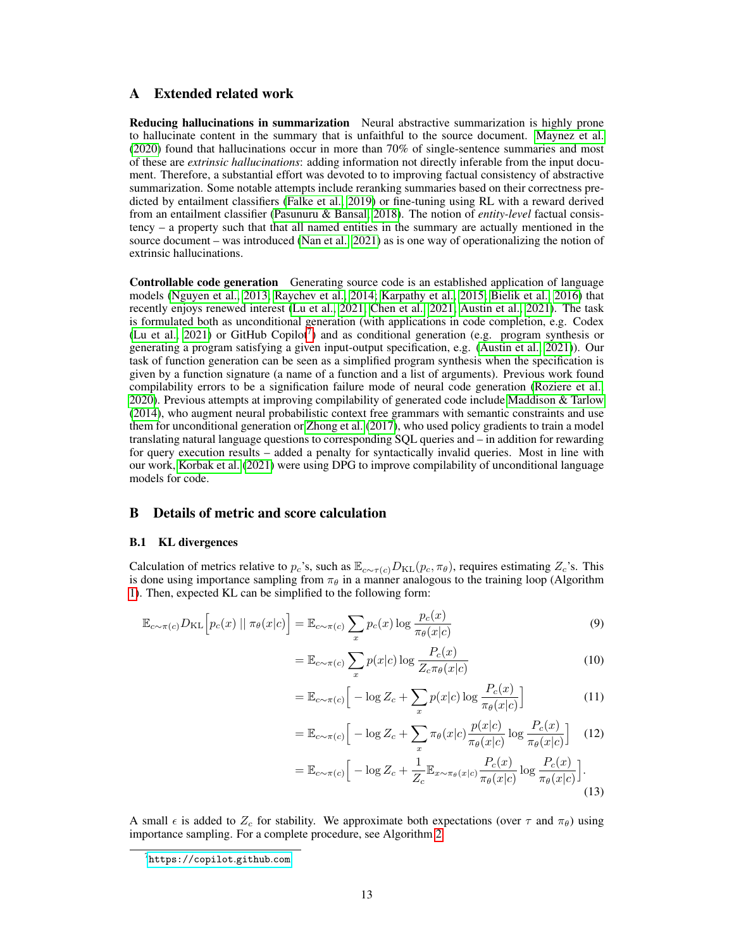# <span id="page-12-0"></span>A Extended related work

Reducing hallucinations in summarization Neural abstractive summarization is highly prone to hallucinate content in the summary that is unfaithful to the source document. [Maynez et al.](#page-10-5) [\(2020\)](#page-10-5) found that hallucinations occur in more than 70% of single-sentence summaries and most of these are *extrinsic hallucinations*: adding information not directly inferable from the input document. Therefore, a substantial effort was devoted to to improving factual consistency of abstractive summarization. Some notable attempts include reranking summaries based on their correctness predicted by entailment classifiers [\(Falke et al., 2019\)](#page-8-6) or fine-tuning using RL with a reward derived from an entailment classifier [\(Pasunuru & Bansal, 2018\)](#page-10-3). The notion of *entity-level* factual consistency – a property such that that all named entities in the summary are actually mentioned in the source document – was introduced [\(Nan et al., 2021\)](#page-10-6) as is one way of operationalizing the notion of extrinsic hallucinations.

Controllable code generation Generating source code is an established application of language models [\(Nguyen et al., 2013;](#page-10-9) [Raychev et al., 2014;](#page-11-8) [Karpathy et al., 2015;](#page-9-8) [Bielik et al., 2016\)](#page-8-7) that recently enjoys renewed interest [\(Lu et al., 2021;](#page-9-9) [Chen et al., 2021;](#page-8-2) [Austin et al., 2021\)](#page-8-4). The task is formulated both as unconditional generation (with applications in code completion, e.g. Codex [\(Lu et al., 2021\)](#page-9-9) or GitHub Copilot<sup>[7](#page-0-0)</sup>) and as conditional generation (e.g. program synthesis or generating a program satisfying a given input-output specification, e.g. [\(Austin et al., 2021\)](#page-8-4)). Our task of function generation can be seen as a simplified program synthesis when the specification is given by a function signature (a name of a function and a list of arguments). Previous work found compilability errors to be a signification failure mode of neural code generation [\(Roziere et al.,](#page-11-6) [2020\)](#page-11-6). Previous attempts at improving compilability of generated code include [Maddison & Tarlow](#page-10-10) [\(2014\)](#page-10-10), who augment neural probabilistic context free grammars with semantic constraints and use them for unconditional generation or [Zhong et al.](#page-11-9) [\(2017\)](#page-11-9), who used policy gradients to train a model translating natural language questions to corresponding SQL queries and – in addition for rewarding for query execution results – added a penalty for syntactically invalid queries. Most in line with our work, [Korbak et al.](#page-9-10) [\(2021\)](#page-9-10) were using DPG to improve compilability of unconditional language models for code.

# <span id="page-12-1"></span>B Details of metric and score calculation

### B.1 KL divergences

Calculation of metrics relative to  $p_c$ 's, such as  $\mathbb{E}_{c \sim \tau(c)} D_{\text{KL}}(p_c, \pi_\theta)$ , requires estimating  $Z_c$ 's. This is done using importance sampling from  $\pi_{\theta}$  in a manner analogous to the training loop (Algorithm [1\)](#page-3-2). Then, expected KL can be simplified to the following form:

$$
\mathbb{E}_{c \sim \pi(c)} D_{\text{KL}}\left[p_c(x) \mid \pi_\theta(x|c)\right] = \mathbb{E}_{c \sim \pi(c)} \sum_x p_c(x) \log \frac{p_c(x)}{\pi_\theta(x|c)}
$$
(9)

$$
= \mathbb{E}_{c \sim \pi(c)} \sum_{x} p(x|c) \log \frac{P_c(x)}{Z_c \pi_{\theta}(x|c)}
$$
(10)

$$
= \mathbb{E}_{c \sim \pi(c)} \Big[ -\log Z_c + \sum_x p(x|c) \log \frac{P_c(x)}{\pi_\theta(x|c)} \Big] \tag{11}
$$

$$
= \mathbb{E}_{c \sim \pi(c)} \Big[ -\log Z_c + \sum_x \pi_\theta(x|c) \frac{p(x|c)}{\pi_\theta(x|c)} \log \frac{P_c(x)}{\pi_\theta(x|c)} \Big] \quad (12)
$$

$$
= \mathbb{E}_{c \sim \pi(c)} \Big[ -\log Z_c + \frac{1}{Z_c} \mathbb{E}_{x \sim \pi_\theta(x|c)} \frac{P_c(x)}{\pi_\theta(x|c)} \log \frac{P_c(x)}{\pi_\theta(x|c)} \Big]. \tag{13}
$$

A small  $\epsilon$  is added to  $Z_c$  for stability. We approximate both expectations (over  $\tau$  and  $\pi_{\theta}$ ) using importance sampling. For a complete procedure, see Algorithm [2.](#page-13-1)

<sup>7</sup> [https://copilot](https://copilot.github.com).github.com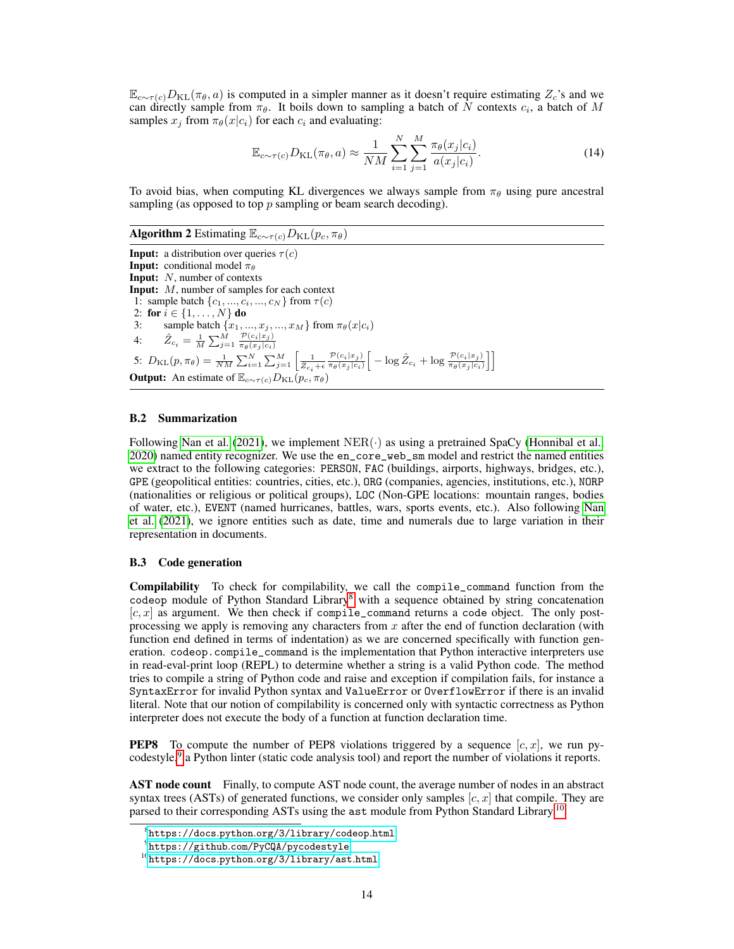$\mathbb{E}_{c \sim \tau(c)} D_{\text{KL}}(\pi_{\theta}, a)$  is computed in a simpler manner as it doesn't require estimating  $Z_c$ 's and we can directly sample from  $\pi_{\theta}$ . It boils down to sampling a batch of N contexts  $c_i$ , a batch of M samples  $x_j$  from  $\pi_\theta(x|c_i)$  for each  $c_i$  and evaluating:

$$
\mathbb{E}_{c \sim \tau(c)} D_{\text{KL}}(\pi_{\theta}, a) \approx \frac{1}{NM} \sum_{i=1}^{N} \sum_{j=1}^{M} \frac{\pi_{\theta}(x_j | c_i)}{a(x_j | c_i)}.
$$
\n(14)

To avoid bias, when computing KL divergences we always sample from  $\pi_{\theta}$  using pure ancestral sampling (as opposed to top  $p$  sampling or beam search decoding).

<span id="page-13-1"></span>**Algorithm 2** Estimating  $\mathbb{E}_{c \sim \tau(c)} D_{\text{KL}}(p_c, \pi_\theta)$ 

**Input:** a distribution over queries  $\tau(c)$ **Input:** conditional model  $\pi_{\theta}$ Input: N, number of contexts Input: M, number of samples for each context 1: sample batch  $\{c_1, ..., c_i, ..., c_N\}$  from  $\tau(c)$ 2: for  $i \in \{1, ..., N\}$  do 3: sample batch  $\{x_1, ..., x_j, ..., x_M\}$  from  $\pi_\theta(x|c_i)$ 4:  $\hat{Z}_{c_i} = \frac{1}{M} \sum_{j=1}^{M} \frac{\mathcal{P}(c_i|x_j)}{\pi_{\theta}(x_i|c_i)}$  $\pi_{\theta}(x_j | c_i)$ 5:  $D_{\text{KL}}(p, \pi_{\theta}) = \frac{1}{NM} \sum_{i=1}^{N} \sum_{j=1}^{M} \left[ \frac{1}{\hat{Z}_{c_i} + \epsilon} \frac{\mathcal{P}(c_i|x_j)}{\pi_{\theta}(x_j|c_i)} \right]$  $\frac{\mathcal{P}(c_i | x_j)}{\pi_\theta(x_j | c_i)} \left[ -\log \hat{Z}_{c_i} + \log \frac{\mathcal{P}(c_i | x_j)}{\pi_\theta(x_j | c_i)} \right]$ **Output:** An estimate of  $\mathbb{E}_{c \sim \tau(c)} D_{\text{KL}}(p_c, \pi_\theta)$ 

### B.2 Summarization

Following [Nan et al.](#page-10-6) [\(2021\)](#page-10-6), we implement  $NER(\cdot)$  as using a pretrained SpaCy [\(Honnibal et al.,](#page-9-11) [2020\)](#page-9-11) named entity recognizer. We use the en\_core\_web\_sm model and restrict the named entities we extract to the following categories: PERSON, FAC (buildings, airports, highways, bridges, etc.), GPE (geopolitical entities: countries, cities, etc.), ORG (companies, agencies, institutions, etc.), NORP (nationalities or religious or political groups), LOC (Non-GPE locations: mountain ranges, bodies of water, etc.), EVENT (named hurricanes, battles, wars, sports events, etc.). Also following [Nan](#page-10-6) [et al.](#page-10-6) [\(2021\)](#page-10-6), we ignore entities such as date, time and numerals due to large variation in their representation in documents.

### <span id="page-13-0"></span>B.3 Code generation

Compilability To check for compilability, we call the compile\_command function from the codeop module of Python Standard Library<sup>[8](#page-0-0)</sup> with a sequence obtained by string concatenation  $[c, x]$  as argument. We then check if compile\_command returns a code object. The only postprocessing we apply is removing any characters from  $x$  after the end of function declaration (with function end defined in terms of indentation) as we are concerned specifically with function generation. codeop.compile\_command is the implementation that Python interactive interpreters use in read-eval-print loop (REPL) to determine whether a string is a valid Python code. The method tries to compile a string of Python code and raise and exception if compilation fails, for instance a SyntaxError for invalid Python syntax and ValueError or OverflowError if there is an invalid literal. Note that our notion of compilability is concerned only with syntactic correctness as Python interpreter does not execute the body of a function at function declaration time.

**PEP8** To compute the number of PEP8 violations triggered by a sequence  $[c, x]$ , we run py-codestyle,<sup>[9](#page-0-0)</sup> a Python linter (static code analysis tool) and report the number of violations it reports.

AST node count Finally, to compute AST node count, the average number of nodes in an abstract syntax trees (ASTs) of generated functions, we consider only samples  $[c, x]$  that compile. They are parsed to their corresponding ASTs using the ast module from Python Standard Library.<sup>[10](#page-0-0)</sup>

 $8$ https://docs.python.[org/3/library/codeop](https://docs.python.org/3/library/codeop.html).html

 $^{9}$ https://github.[com/PyCQA/pycodestyle](https://github.com/PyCQA/pycodestyle)

<sup>10</sup>https://docs.python.[org/3/library/ast](https://docs.python.org/3/library/ast.html).html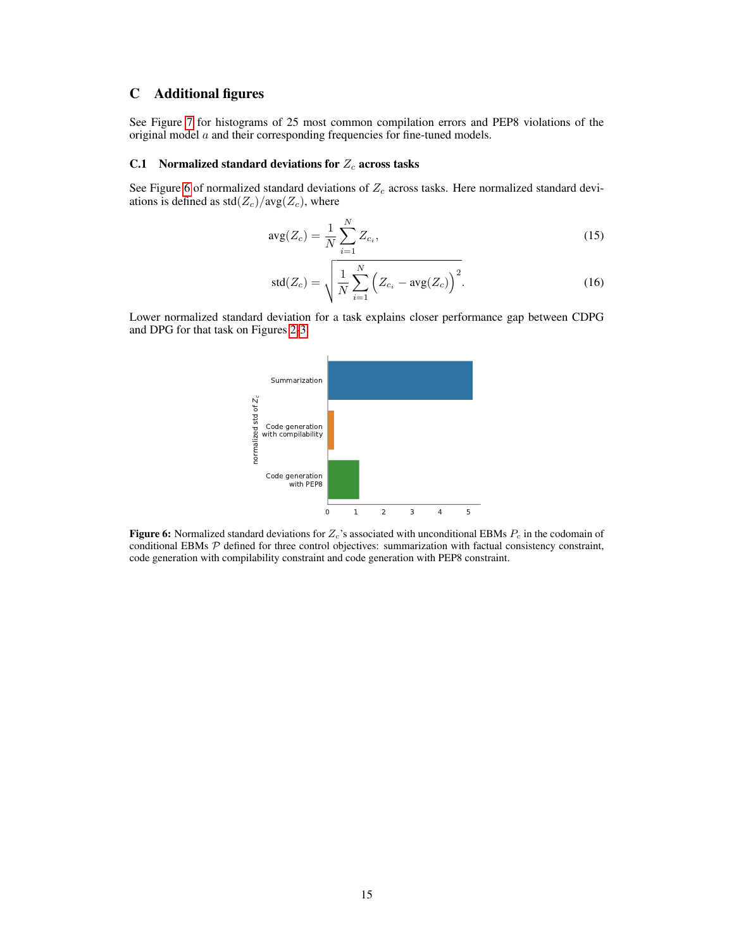# C Additional figures

See Figure [7](#page-15-0) for histograms of 25 most common compilation errors and PEP8 violations of the original model a and their corresponding frequencies for fine-tuned models.

# <span id="page-14-0"></span>C.1 Normalized standard deviations for  $Z_c$  across tasks

See Figure [6](#page-14-1) of normalized standard deviations of  $Z_c$  across tasks. Here normalized standard deviations is defined as  $std(Z_c)/avg(Z_c)$ , where

$$
avg(Z_c) = \frac{1}{N} \sum_{i=1}^{N} Z_{c_i},
$$
\n(15)

$$
\text{std}(Z_c) = \sqrt{\frac{1}{N} \sum_{i=1}^{N} \left( Z_{c_i} - \text{avg}(Z_c) \right)^2}.
$$
 (16)

<span id="page-14-1"></span>Lower normalized standard deviation for a task explains closer performance gap between CDPG and DPG for that task on Figures [2-](#page-5-0)[3](#page-6-0)



**Figure 6:** Normalized standard deviations for  $Z_c$ 's associated with unconditional EBMs  $P_c$  in the codomain of conditional EBMs  $P$  defined for three control objectives: summarization with factual consistency constraint, code generation with compilability constraint and code generation with PEP8 constraint.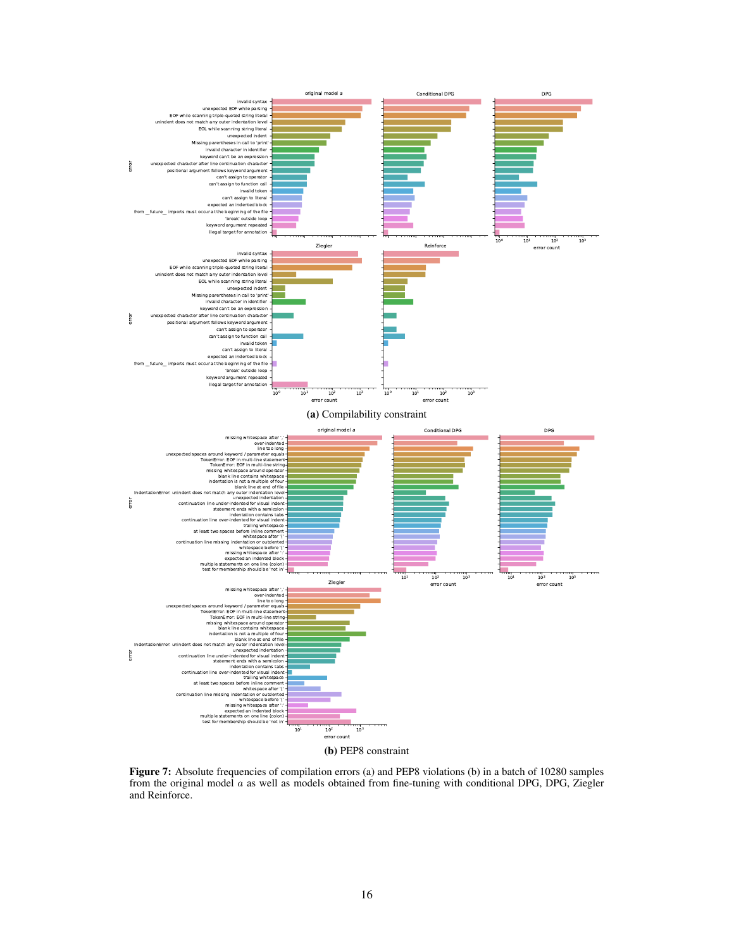<span id="page-15-0"></span>

Figure 7: Absolute frequencies of compilation errors (a) and PEP8 violations (b) in a batch of 10280 samples from the original model a as well as models obtained from fine-tuning with conditional DPG, DPG, Ziegler and Reinforce.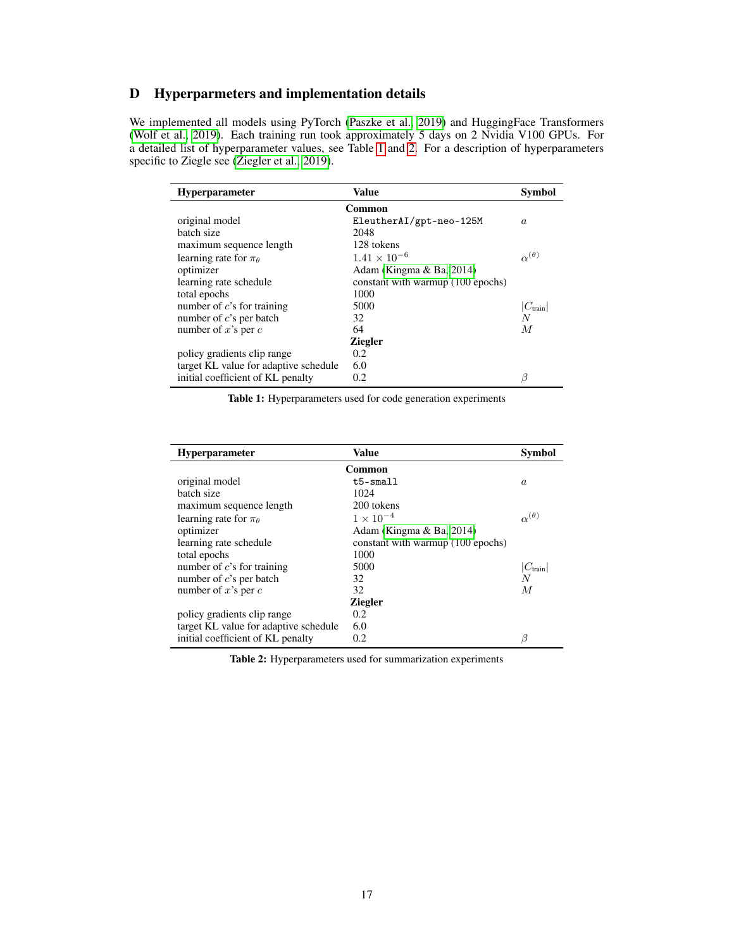# D Hyperparmeters and implementation details

We implemented all models using PyTorch [\(Paszke et al., 2019\)](#page-10-11) and HuggingFace Transformers [\(Wolf et al., 2019\)](#page-11-7). Each training run took approximately 5 days on 2 Nvidia V100 GPUs. For a detailed list of hyperparameter values, see Table [1](#page-16-0) and [2.](#page-16-1) For a description of hyperparameters specific to Ziegle see [\(Ziegler et al., 2019\)](#page-11-1).

<span id="page-16-0"></span>

| <b>Hyperparameter</b>                 | <b>Value</b>                      | <b>Symbol</b>          |
|---------------------------------------|-----------------------------------|------------------------|
|                                       | Common                            |                        |
| original model                        | EleutherAI/gpt-neo-125M           | $\boldsymbol{a}$       |
| batch size                            | 2048                              |                        |
| maximum sequence length               | 128 tokens                        |                        |
| learning rate for $\pi_{\theta}$      | $1.41 \times 10^{-6}$             | $\alpha^{(\theta)}$    |
| optimizer                             | Adam (Kingma $\&$ Ba, 2014)       |                        |
| learning rate schedule                | constant with warmup (100 epochs) |                        |
| total epochs                          | 1000                              |                        |
| number of $c$ 's for training         | 5000                              | $ C_{\mathrm{train}} $ |
| number of $c$ 's per batch            | 32                                | N                      |
| number of x's per $c$                 | 64                                | $\overline{M}$         |
|                                       | <b>Ziegler</b>                    |                        |
| policy gradients clip range           | 0.2                               |                        |
| target KL value for adaptive schedule | 6.0                               |                        |
| initial coefficient of KL penalty     | 0.2                               | ß                      |

Table 1: Hyperparameters used for code generation experiments

<span id="page-16-1"></span>

| <b>Hyperparameter</b>                 | Value                             | <b>Symbol</b>          |  |  |  |
|---------------------------------------|-----------------------------------|------------------------|--|--|--|
|                                       | Common                            |                        |  |  |  |
| original model                        | $t5$ -small                       | $\alpha$               |  |  |  |
| batch size                            | 1024                              |                        |  |  |  |
| maximum sequence length               | 200 tokens                        |                        |  |  |  |
| learning rate for $\pi_{\theta}$      | $1 \times 10^{-4}$                | $\alpha^{(\theta)}$    |  |  |  |
| optimizer                             | Adam (Kingma & Ba, 2014)          |                        |  |  |  |
| learning rate schedule                | constant with warmup (100 epochs) |                        |  |  |  |
| total epochs                          | 1000                              |                        |  |  |  |
| number of $c$ 's for training         | 5000                              | $ C_{\mathrm{train}} $ |  |  |  |
| number of $c$ 's per batch            | 32                                | N                      |  |  |  |
| number of x's per $c$                 | 32                                | $\overline{M}$         |  |  |  |
|                                       | <b>Ziegler</b>                    |                        |  |  |  |
| policy gradients clip range           | 0.2                               |                        |  |  |  |
| target KL value for adaptive schedule | 6.0                               |                        |  |  |  |
| initial coefficient of KL penalty     | 0.2                               | В                      |  |  |  |

Table 2: Hyperparameters used for summarization experiments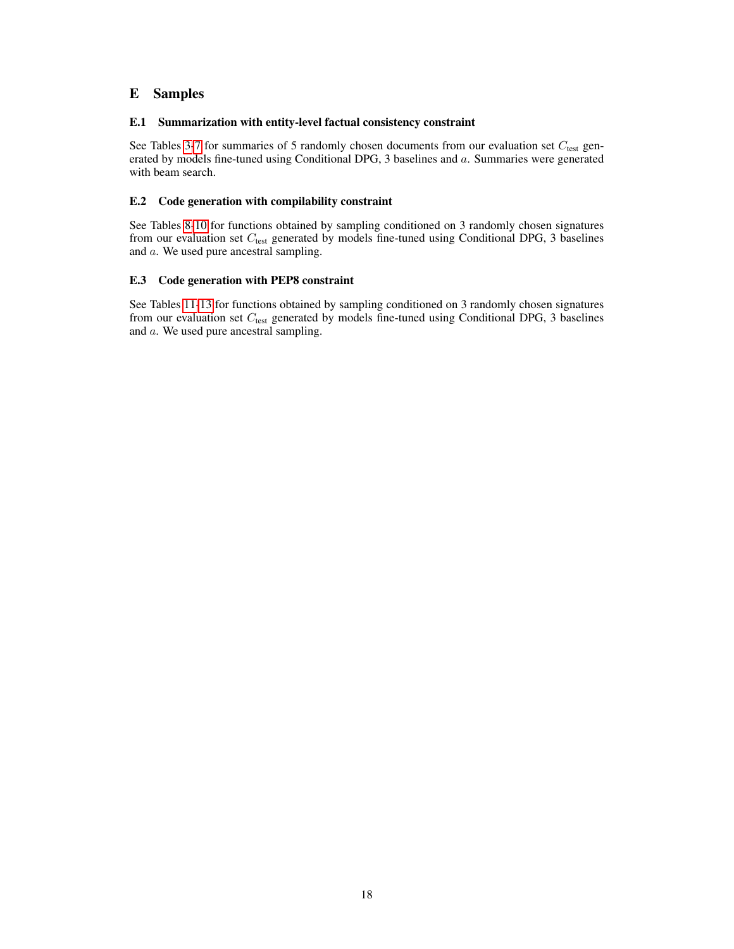# <span id="page-17-0"></span>E Samples

### E.1 Summarization with entity-level factual consistency constraint

See Tables [3-](#page-18-0)[7](#page-22-0) for summaries of 5 randomly chosen documents from our evaluation set  $C_{\text{test}}$  generated by models fine-tuned using Conditional DPG, 3 baselines and a. Summaries were generated with beam search.

# E.2 Code generation with compilability constraint

See Tables [8-](#page-23-0)[10](#page-25-0) for functions obtained by sampling conditioned on 3 randomly chosen signatures from our evaluation set  $C_{\text{test}}$  generated by models fine-tuned using Conditional DPG, 3 baselines and a. We used pure ancestral sampling.

# E.3 Code generation with PEP8 constraint

See Tables [11](#page-26-0)[-13](#page-28-0) for functions obtained by sampling conditioned on 3 randomly chosen signatures from our evaluation set  $C_{\text{test}}$  generated by models fine-tuned using Conditional DPG, 3 baselines and a. We used pure ancestral sampling.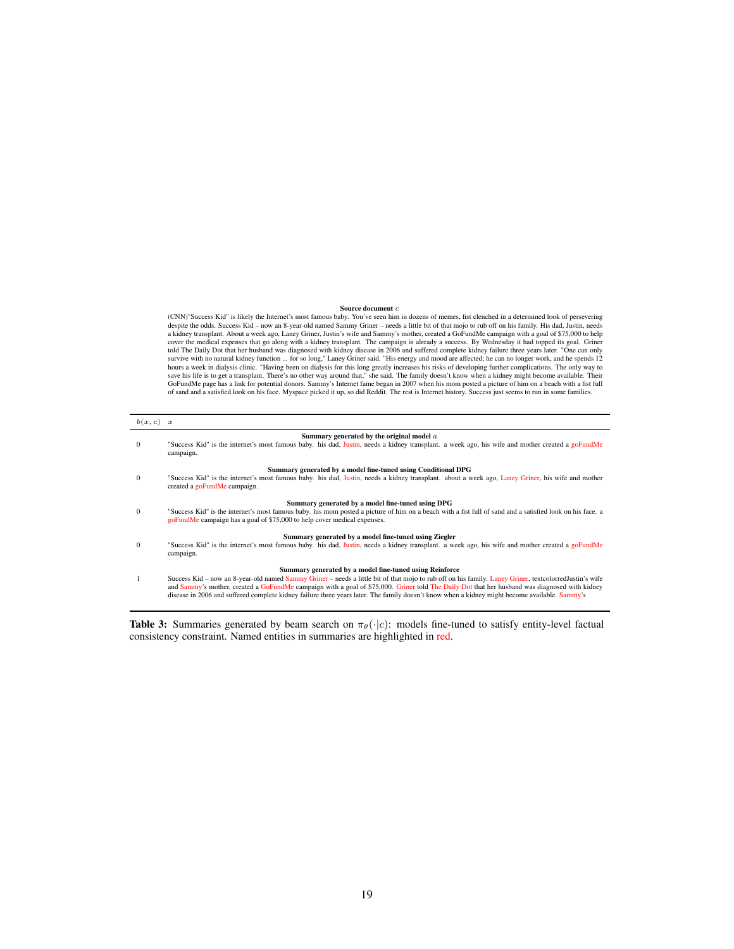#### Source document c

<span id="page-18-0"></span>(CNN)"Success Kid" is likely the Internet's most famous baby. You've seen him in dozens of memes, fist clenched in a determined look of persevering despite the odds. Success Kid - now an 8-year-old named Sammy Griner - needs a little bit of that mojo to rub off on his family. His dad, Justin, needs a kidney transplant. About a week ago, Laney Griner, Justin's wife and Sammy's mother, created a GoFundMe campaign with a goal of \$75,000 to help<br>cover the medical expenses that go along with a kidney transplant. The campa told The Daily Dot that her husband was diagnosed with kidney disease in 2006 and suffered complete kidney failure three years later. "One can only<br>survive with no natural kidney function … for so long," Laney Griner said. hours a week in dialysis clinic. "Having been on dialysis for this long greatly increases his risks of developing further complications. The only way to save his life is to get a transplant. There's no other way around that," she said. The family doesn't know when a kidney might become available. Their<br>GoFundMe page has a link for potential donors. Sammy's Internet fame be

### $b(x, c)$  x Summary generated by the original model  $\boldsymbol{a}$ 0 "Success Kid" is the internet's most famous baby. his dad, Justin, needs a kidney transplant. a week ago, his wife and mother created a goFundMe campaign. Summary generated by a model fine-tuned using Conditional DPG 0 "Success Kid" is the internet's most famous baby. his dad, Justin, needs a kidney transplant. about a week ago, Laney Griner, his wife and mother created a goFundMe campaign. Summary generated by a model fine-tuned using DPG "Success Kid" is the internet's most famous baby. his mom posted a picture of him on a beach with a fist full of sand and a satisfied look on his face. a<br>goFundMe campaign has a goal of \$75,000 to help cover medical expens Summary generated by a model fine-tuned using Ziegler<br><sup>1</sup>Success Kid" is the internet's most famous baby. his dad, Justin, needs a kidney transplant. a week ago, his wife and mother created a goFundMe campaign. Summary generated by a model fine-tuned using Reinforce 1 Success Kid – now an 8-year-old named Sammy Griner – needs a little bit of that mojo to rub off on his family. Laney Griner, textcolorredJustin's wife and <mark>Sammy</mark>'s mother, created a GoFundMe campaign with a goal of \$75,000. Griner told The Daily Dot that her husband was diagnosed with kidney<br>disease in 2006 and suffered complete kidney failure three years later. The fam

**Table 3:** Summaries generated by beam search on  $\pi_{\theta}(\cdot|c)$ : models fine-tuned to satisfy entity-level factual consistency constraint. Named entities in summaries are highlighted in red.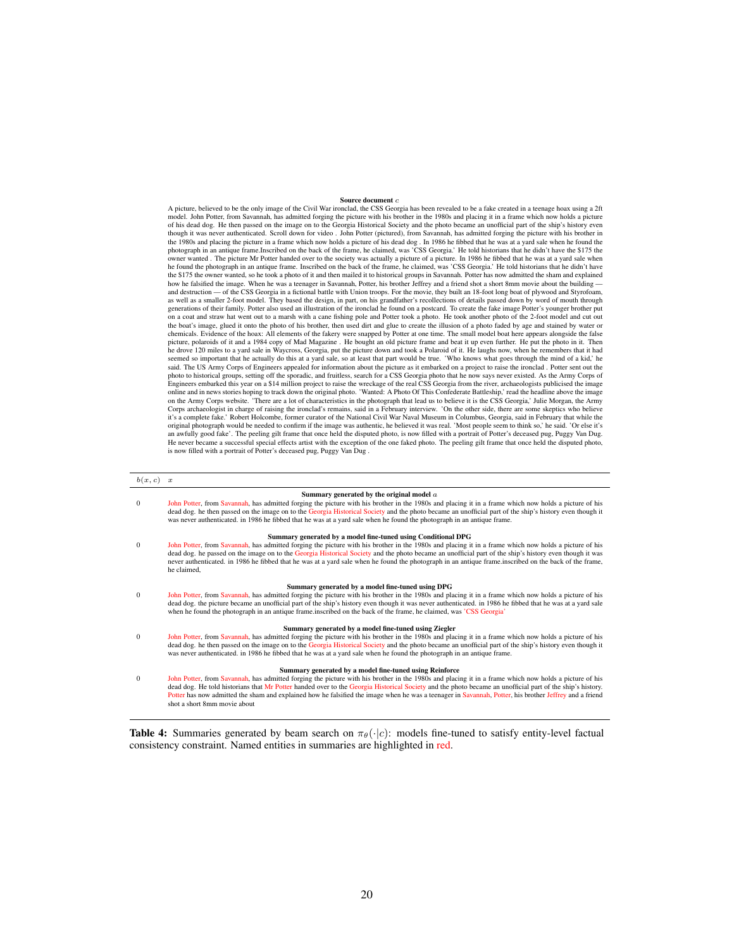#### Source document  $c$

A picture, believed to be the only image of the Civil War ironclad, the CSS Georgia has been revealed to be a fake created in a teenage hoax using a 2ft model. John Potter, from Savannah, has admitted forging the picture with his brother in the 1980s and placing it in a frame which now holds a picture<br>of his dead dog. He then passed on the image on to the Georgia Historica though it was never authenticated. Scroll down for video . John Potter (pictured), from Savannah, has admitted forging the picture with his brother in the 1980s and placing the picture in a frame which now holds a picture of his dead dog . In 1986 he fibbed that he was at a yard sale when he found the<br>photograph in an antique frame.Inscribed on the back of the frame, he owner wanted . The picture Mr Potter handed over to the society was actually a picture of a picture. In 1986 he fibbed that he was at a yard sale when he found the photograph in an antique frame. Inscribed on the back of the frame, he claimed, was 'CSS Georgia.' He told historians that he didn't have the \$175 the owner wanted, so he took a photo of it and then mailed it to historical groups in Savannah. Potter has now admitted the sham and explained how he falsified the image. When he was a teenager in Savannah, Potter, his brother Jeffrey and a friend shot a short 8mm movie about the building and destruction — of the CSS Georgia in a fictional battle with Union troops. For the movie, they built an 18-foot long boat of plywood and Styrofoam, as well as a smaller 2-foot model. They based the design, in part, on his grandfather's recollections of details passed down by word of mouth through generations of their family. Potter also used an illustration of the ironclad he found on a postcard. To create the fake image Potter's younger brother put on a coat and straw hat went out to a marsh with a cane fishing pole and Potter took a photo. He took another photo of the 2-foot model and cut out the boat's image, glued it onto the photo of his brother, then used dirt and glue to create the illusion of a photo faded by age and stained by water or chemicals. Evidence of the hoax: All elements of the fakery were snapped by Potter at one time. The small model boat here appears alongside the false<br>picture, polaroids of it and a 1984 copy of Mad Magazine . He bought an he drove 120 miles to a yard sale in Waycross, Georgia, put the picture down and took a Polaroid of it. He laughs now, when he remembers that it had seemed so important that he actually do this at a yard sale, so at least that part would be true. 'Who knows what goes through the mind of a kid,' he said. The US Army Corps of Engineers appealed for information about the picture as it embarked on a project to raise the ironclad . Potter sent out the photo to historical groups, setting off the sporadic, and fruitless, search for a CSS Georgia photo that he now says never existed. As the Army Corps of<br>Engineers embarked this year on a \$14 million project to raise the wr ne and in news stories hoping to track down the original photo. 'Wanted: A Photo Of This Confederate Battleship,' read the headline above the image on the Army Corps website. 'There are a lot of characteristics in the photograph that lead us to believe it is the CSS Georgia,' Julie Morgan, the Army Corps archaeologist in charge of raising the ironclad's remains, said in a February interview. 'On the other side, there are some skeptics who believe it's a complete fake.' Robert Holcombe, former curator of the National Civil War Naval Museum in Columbus, Georgia, said in February that while the original photograph would be needed to confirm if the image was authentic, he believed it was real. 'Most people seem to think so,' he said. 'Or else it's an awfully good fake'. The peeling gilt frame that once held the disputed photo, is now filled with a portrait of Potter's deceased pug, Puggy Van Dug.<br>He never became a successful special effects artist with the exception ecame a successful special effects artist with the exception of the one faked photo. The peeling gilt frame that once held the disputed photo, is now filled with a portrait of Potter's deceased pug, Puggy Van Dug .

#### $b(x, c)$  x

#### Summary generated by the original model  $a$

0 John Potter, from Savannah, has admitted forging the picture with his brother in the 1980s and placing it in a frame which now holds a picture of his dead dog. he then passed on the image on to the Georgia Historical Society and the photo became an unofficial part of the ship's history even though it<br>was never authenticated. in 1986 he fibbed that he was at a yard sale

### Summary generated by a model fine-tuned using Conditional DPG

0 John Potter, from Savannah, has admitted forging the picture with his brother in the 1980s and placing it in a frame which now holds a picture of his dead dog. he passed on the image on to the Georgia Historical Society and the photo became an unofficial part of the ship's history even though it was never authenticated. in 1986 he fibbed that he was at a yard sale when he found the photograph in an antique frame.inscribed on the back of the frame, he claimed,

#### Summary generated by a model fine-tuned using DPG

0 John Potter, from Savannah, has admitted forging the picture with his brother in the 1980s and placing it in a frame which now holds a picture of his dead dog. the picture became an unofficial part of the ship's history even though it was never authenticated. in 1986 he fibbed that he was at a yard sale when he found the photograph in an antique frame.inscribed on the back of the frame, he claimed, was 'CSS Georgia'

#### Summary generated by a model fine-tuned using Ziegler

0 John Potter, from Savannah, has admitted forging the picture with his brother in the 1980s and placing it in a frame which now holds a picture of his dead dog. he then passed on the image on to the Georgia Historical Society and the photo became an unofficial part of the ship's history even though it was never authenticated. in 1986 he fibbed that he was at a yard sale when he found the photograph in an antique frame.

#### Summary generated by a model fine-tuned using Reinforce

John Potter, from Savannah, has admitted forging the picture with his brother in the 1980s and placing it in a frame which now holds a picture of his dead dog. He told historians that Mr Potter handed over to the Georgia H Potter has now admitted the sham and explained how he falsified the image when he was a teenager in Savannah, Potter, his brother Jeffrey and a friend shot a short 8mm movie about

**Table 4:** Summaries generated by beam search on  $\pi_{\theta}(\cdot|c)$ : models fine-tuned to satisfy entity-level factual consistency constraint. Named entities in summaries are highlighted in red.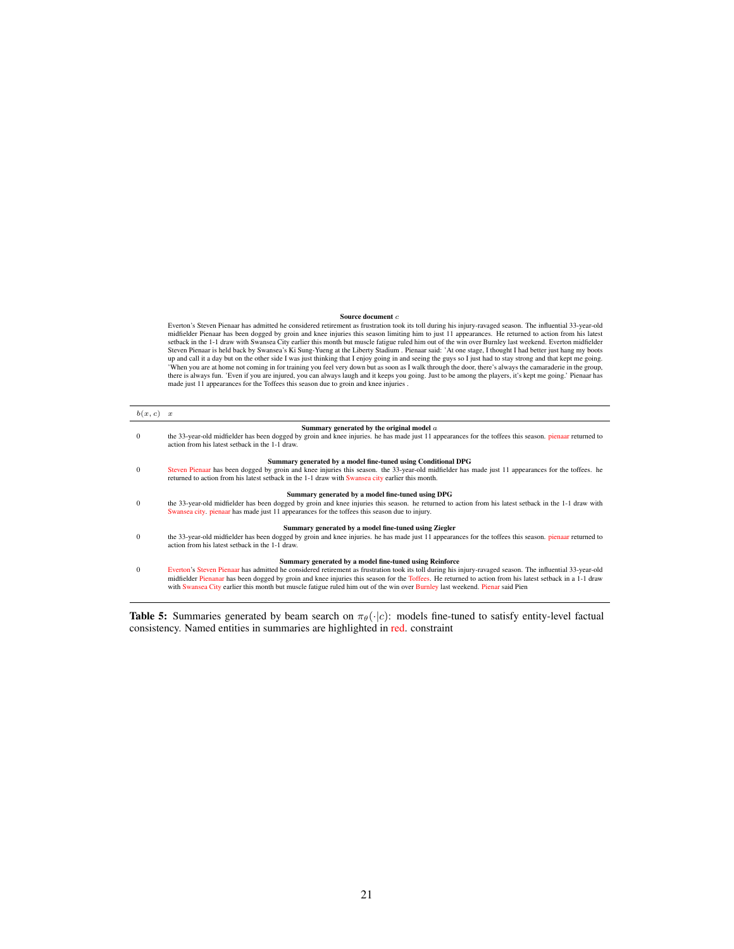#### Source document  $\boldsymbol{c}$

Everton's Steven Pienaar has admitted he considered retirement as frustration took its toll during his injury-ravaged season. The influential 33-year-old<br>midfielder Pienaar has been dogged by groin and knee injuries this s Steven Pienaar is held back by Swansea's Ki Sung-Yueng at the Liberty Stadium . Pienaar said: 'At one stage, I thought I had better just hang my boots<br>up and call it a day but on the other side I was just thinking that I e there is always fun. 'Even if you are injured, you can always laugh and it keeps you going. Just to be among the players, it's kept me going.' Pienaar has<br>made just 11 appearances for the Toffees this season due to groin a

| b(x, c)      | $\boldsymbol{x}$                                                                                                                                                                                                                                                                                                                                                                                                                                                                                                |
|--------------|-----------------------------------------------------------------------------------------------------------------------------------------------------------------------------------------------------------------------------------------------------------------------------------------------------------------------------------------------------------------------------------------------------------------------------------------------------------------------------------------------------------------|
| $\mathbf{0}$ | Summary generated by the original model a<br>the 33-year-old midfielder has been dogged by groin and knee injuries, he has made just 11 appearances for the toffees this season, pienaar returned to<br>action from his latest setback in the 1-1 draw.                                                                                                                                                                                                                                                         |
| $\mathbf{0}$ | Summary generated by a model fine-tuned using Conditional DPG<br>Steven Pienaar has been dogged by groin and knee injuries this season. the 33-year-old midfielder has made just 11 appearances for the toffees. he<br>returned to action from his latest setback in the 1-1 draw with Swansea city earlier this month.                                                                                                                                                                                         |
| $\mathbf{0}$ | Summary generated by a model fine-tuned using DPG<br>the 33-year-old midfielder has been dogged by groin and knee injuries this season. he returned to action from his latest setback in the 1-1 draw with<br>Swansea city, pienaar has made just 11 appearances for the toffees this season due to injury.                                                                                                                                                                                                     |
| $\mathbf{0}$ | Summary generated by a model fine-tuned using Ziegler<br>the 33-year-old midfielder has been dogged by groin and knee injuries, he has made just 11 appearances for the toffees this season, pienaar returned to<br>action from his latest setback in the 1-1 draw.                                                                                                                                                                                                                                             |
| $\mathbf{0}$ | Summary generated by a model fine-tuned using Reinforce<br>Everton's Steven Pienaar has admitted he considered retirement as frustration took its toll during his injury-ravaged season. The influential 33-year-old<br>midfielder Pienanar has been dogged by groin and knee injuries this season for the Toffees. He returned to action from his latest setback in a 1-1 draw<br>with Swansea City earlier this month but muscle fatigue ruled him out of the win over Burnley last weekend. Pienar said Pien |

**Table 5:** Summaries generated by beam search on  $\pi_{\theta}(\cdot|c)$ : models fine-tuned to satisfy entity-level factual consistency. Named entities in summaries are highlighted in red. constraint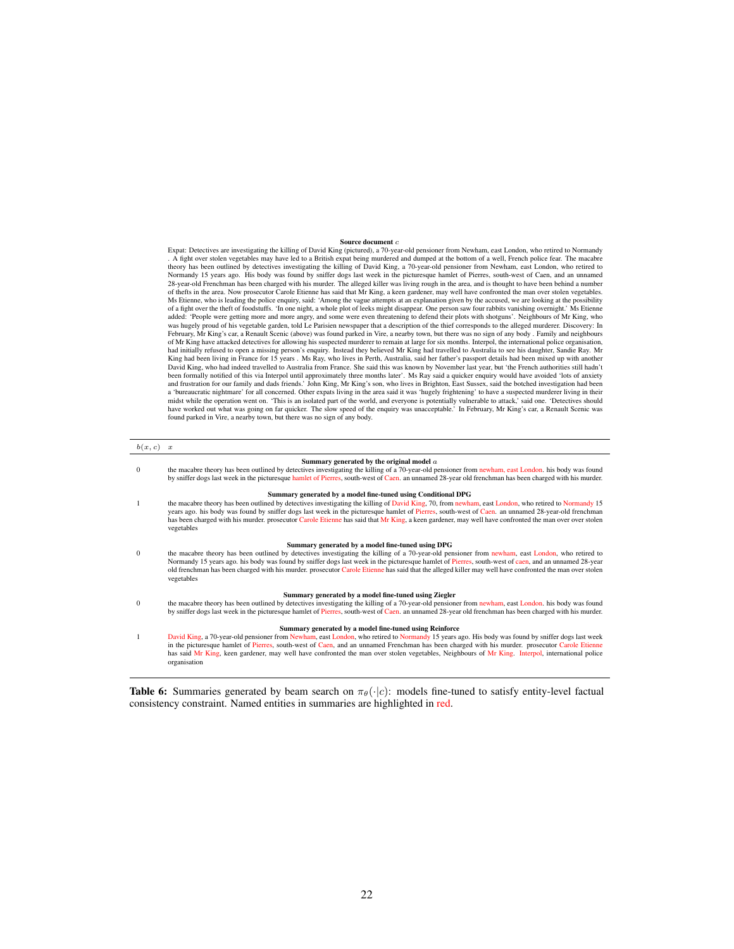#### Source document c

Expat: Detectives are investigating the killing of David King (pictured), a 70-year-old pensioner from Newham, east London, who retired to Normandy . A fight over stolen vegetables may have led to a British expat being murdered and dumped at the bottom of a well, French police fear. The macabre theory has been outlined by detectives investigating the killing of David King, a 70-year-old pensioner from Newham, east London, who retired to<br>Normandy 15 years ago. His body was found by sniffer dogs last week in the pi 28-year-old Frenchman has been charged with his murder. The alleged killer was living rough in the area, and is thought to have been behind a number of thefts in the area. Now prosecutor Carole Etienne has said that Mr King, a keen gardener, may well have confronted the man over stolen vegetables. Ms Etienne, who is leading the police enquiry, said: 'Among the vague attempts at an explanation given by the accused, we are looking at the possibility of a fight over the theft of foodstuffs. 'In one night, a whole plot of leeks might disappear. One person saw four rabbits vanishing overnight.' Ms Etienne<br>added: 'People were getting more and more angry, and some were eve was hugely proud of his vegetable garden, told Le Parisien newspaper that a description of the thief corresponds to the alleged murderer. Discovery: In February, Mr King's car, a Renault Scenic (above) was found parked in Vire, a nearby town, but there was no sign of any body . Family and neighbours of Mr King have attacked detectives for allowing his suspected murderer to remain at large for six months. Interpol, the international police organisation, had initially refused to open a missing person's enquiry. Instead they believed Mr King had travelled to Australia to see his daughter, Sandie Ray. Mr King had been living in France for 15 years . Ms Ray, who lives in Perth, Australia, said her father's passport details had been mixed up with another<br>David King, who had indeed travelled to Australia from France. She said been formally notified of this via Interpol until approximately three months later'. Ms Ray said a quicker enquiry would have avoided 'lots of anxiety<br>and frustration for our family and dads friends.' John King, Mr King's a 'bureaucratic nightmare' for all concerned. Other expats living in the area said it was 'hugely frightening' to have a suspected murderer living in their midst while the operation went on. 'This is an isolated part of the world, and everyone is potentially vulnerable to attack,' said one. 'Detectives should<br>have worked out what was going on far quicker. The slow speed of th found parked in Vire, a nearby town, but there was no sign of any body.

### $b(x, c)$  x

#### Summary generated by the original model  $\boldsymbol{a}$

0 the macabre theory has been outlined by detectives investigating the killing of a 70-year-old pensioner from newham, east London. his body was found by sniffer dogs last week in the picturesque hamlet of Pierres, south-west of Caen. an unnamed 28-year old frenchman has been charged with his murder.

#### Summary generated by a model fine-tuned using Conditional DPG

1 the macabre theory has been outlined by detectives investigating the killing of David King, 70, from newham, east London, who retired to Normandy 15 years ago. his body was found by sniffer dogs last week in the picturesque hamlet of Pierres, south-west of <mark>Caen</mark>. an unnamed 28-year-old frenchman<br>has been charged with his murder. prosecutor <mark>Carole Etienne</mark> has said th vegetables

#### Summary generated by a model fine-tuned using DPG

0 the macabre theory has been outlined by detectives investigating the killing of a 70-year-old pensioner from newham, east London, who retired to Normandy 15 years ago. his body was found by sniffer dogs last week in the picturesque hamlet of Pierres, south-west of caen, and an unnamed 28-year old frenchman has been charged with his murder. prosecutor Carole Etienne has said that the alleged killer may well have confronted the man over stolen vegetables

#### Summary generated by a model fine-tuned using Ziegler

- 0 the macabre theory has been outlined by detectives investigating the killing of a 70-year-old pensioner from newham, east London. his body was found by sniffer dogs last week in the picturesque hamlet of Pierres, south-west of Caen. an unnamed 28-year old frenchman has been charged with his murder.
- Summary generated by a model fine-tuned using Reinforce 1 David King, a 70-year-old pensioner from Newham, east London, who retired to Normandy 15 years ago. His body was found by sniffer dogs last week in the picturesque hamlet of Pierres, south-west of Caen, and an unnamed Frenchman has been charged with his murder. prosecutor Carole Etiennel and an unnamed Frenchman has been charged with his murder. prosecutor Carole E has said Mr King, keen gardener, may well have confronted the man over stolen vegetables, Neighbours of Mr King. Interpol, international police organisation

**Table 6:** Summaries generated by beam search on  $\pi_{\theta}(\cdot|c)$ : models fine-tuned to satisfy entity-level factual consistency constraint. Named entities in summaries are highlighted in red.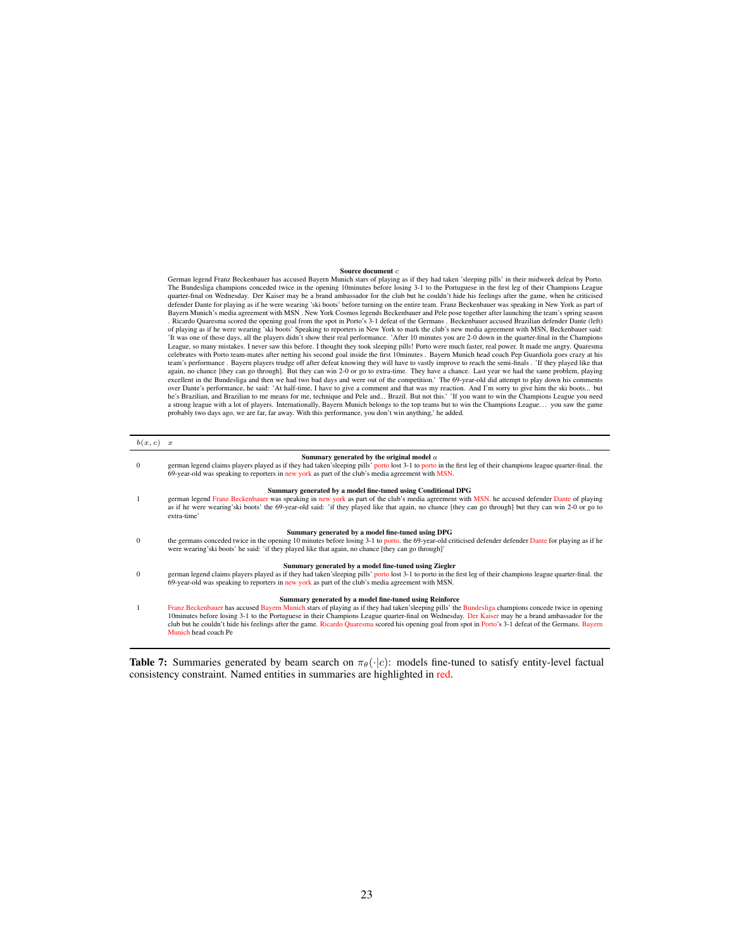#### Source document c

<span id="page-22-0"></span>German legend Franz Beckenbauer has accused Bayern Munich stars of playing as if they had taken 'sleeping pills' in their midweek defeat by Porto.<br>The Bundesliga champions conceded twice in the opening 10minutes before los quarter-final on Wednesday. Der Kaiser may be a brand ambassador for the club but he couldn't hide his feelings after the game, when he criticised defender Dante for playing as if he were wearing 'ski boots' before turning on the entire team. Franz Beckenbauer was speaking in New York as part of<br>Bayern Munich's media agreement with MSN . New York Cosmos legends Becke . Ricardo Quaresma scored the opening goal from the spot in Porto's 3-1 defeat of the Germans . Beckenbauer accused Brazilian defender Dante (left)<br>of playing as if he were wearing 'ski boots' Speaking to reporters in New 'It was one of those days, all the players didn't show their real performance. 'After 10 minutes you are 2-0 down in the quarter-final in the Champions League, so many mistakes. I never saw this before. I thought they took sleeping pills! Porto were much faster, real power. It made me angry. Quaresma<br>celebrates with Porto team-mates after netting his second goal inside th team's performance . Bayern players trudge off after defeat knowing they will have to vastly improve to reach the semi-finals . 'If they played like that again, no chance [they can go through]. But they can win 2-0 or go to extra-time. They have a chance. Last year we had the same problem, playing<br>excellent in the Bundesliga and then we had two bad days and were out of the over Dante's performance, he said: 'At half-time, I have to give a comment and that was my reaction. And I'm sorry to give him the ski boots… but<br>he's Brazilian, and Brazilian to me means for me, technique and Pele and… Br a strong league with a lot of players. Internationally, Bayern Munich belongs to the top teams but to win the Champions League. . . you saw the game probably two days ago, we are far, far away. With this performance, you don't win anything,' he added.

| b(x, c)      | $\boldsymbol{x}$                                                                                                                                                                                                                                                     |
|--------------|----------------------------------------------------------------------------------------------------------------------------------------------------------------------------------------------------------------------------------------------------------------------|
|              | Summary generated by the original model a                                                                                                                                                                                                                            |
| $\mathbf{0}$ | german legend claims players played as if they had taken's leeping pills' porto lost 3-1 to porto in the first leg of their champions league quarter-final, the<br>69-year-old was speaking to reporters in new york as part of the club's media agreement with MSN. |
|              | Summary generated by a model fine-tuned using Conditional DPG                                                                                                                                                                                                        |
| 1            | german legend Franz Beckenbauer was speaking in new york as part of the club's media agreement with MSN, he accused defender Dante of playing                                                                                                                        |
|              | as if he were wearing'ski boots' the 69-year-old said: 'if they played like that again, no chance [they can go through] but they can win 2-0 or go to<br>extra-time'                                                                                                 |
|              | Summary generated by a model fine-tuned using DPG                                                                                                                                                                                                                    |
| $\mathbf{0}$ | the germans conceded twice in the opening 10 minutes before losing 3-1 to porto, the 69-year-old criticised defender defender Dante for playing as if he<br>were wearing'ski boots' he said: 'if they played like that again, no chance [they can go through]'       |
|              | Summary generated by a model fine-tuned using Ziegler                                                                                                                                                                                                                |
| $\Omega$     | german legend claims players played as if they had taken's leeping pills' porto lost 3-1 to porto in the first leg of their champions league quarter-final. the                                                                                                      |
|              | 69-year-old was speaking to reporters in new york as part of the club's media agreement with MSN.                                                                                                                                                                    |
|              | Summary generated by a model fine-tuned using Reinforce                                                                                                                                                                                                              |
| 1            | Franz Beckenbauer has accused Bayern Munich stars of playing as if they had taken'sleeping pills' the Bundesliga champions concede twice in opening                                                                                                                  |

Franz Beckenbauer has accused Bayern Munich stars of playing as if they had taken 'sleeping pills' the Bundesliga champions concede twice in opening<br>10minutes before losing 3-1 to the Portuguese in their Champions League q Munich head coach Pe

**Table 7:** Summaries generated by beam search on  $\pi_{\theta}(\cdot|c)$ : models fine-tuned to satisfy entity-level factual consistency constraint. Named entities in summaries are highlighted in red.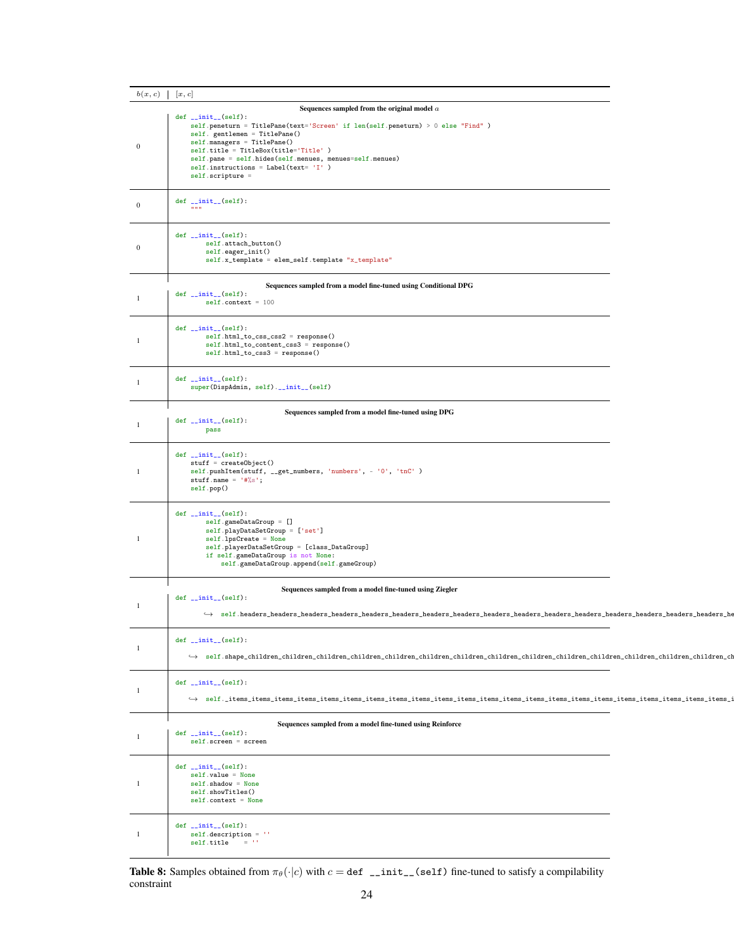<span id="page-23-0"></span>

|                                                                                                                                                                                                                                                                                                                                                                                                                                                                                              | Sequences sampled from the original model $a$<br>$\det$ __init__(self):<br>self.peneturn = TitlePane(text='Screen' if len(self.peneturn) > 0 else "Find" )<br>self. gentlemen = TitlePane()                                                     |  |
|----------------------------------------------------------------------------------------------------------------------------------------------------------------------------------------------------------------------------------------------------------------------------------------------------------------------------------------------------------------------------------------------------------------------------------------------------------------------------------------------|-------------------------------------------------------------------------------------------------------------------------------------------------------------------------------------------------------------------------------------------------|--|
| $\overline{\mathbf{0}}$                                                                                                                                                                                                                                                                                                                                                                                                                                                                      | self.managers = TitlePane()<br>self.title = TitleBox(title='Title')<br>self.pane = self.hides(self.menues, menues=self.menues)<br>self.instructions = Label(text= $'I'$ )<br>self.scripture =                                                   |  |
| $\frac{1}{2} \left( \frac{1}{2} \right) \left( \frac{1}{2} \right) \left( \frac{1}{2} \right) \left( \frac{1}{2} \right) \left( \frac{1}{2} \right) \left( \frac{1}{2} \right) \left( \frac{1}{2} \right) \left( \frac{1}{2} \right) \left( \frac{1}{2} \right) \left( \frac{1}{2} \right) \left( \frac{1}{2} \right) \left( \frac{1}{2} \right) \left( \frac{1}{2} \right) \left( \frac{1}{2} \right) \left( \frac{1}{2} \right) \left( \frac{1}{2} \right) \left( \frac$<br>$\overline{0}$ | $\vert$ def $\vert$ _init_(self):<br>$-0.000$                                                                                                                                                                                                   |  |
| $\overline{0}$<br>$\overline{\phantom{a}}$                                                                                                                                                                                                                                                                                                                                                                                                                                                   | $\det$ __init__(self):<br>self.attach_button()<br>self.eager_init()<br>self.x_template = elem_self.template "x_template"                                                                                                                        |  |
| $\mathbf{1}$                                                                                                                                                                                                                                                                                                                                                                                                                                                                                 | Sequences sampled from a model fine-tuned using Conditional DPG<br>$\vert$ def $\vert$ _init_(self):<br>$self.context = 100$                                                                                                                    |  |
| <b>Contract Contract Contract Contract</b><br>$\overline{1}$                                                                                                                                                                                                                                                                                                                                                                                                                                 | $\det$ __init__(self):<br>self.html_to_css_css2 = response()<br>self.html_to_content_css3 = response()<br>self.html_to_css3 = response()                                                                                                        |  |
| 1<br>$\overline{\phantom{a}}$                                                                                                                                                                                                                                                                                                                                                                                                                                                                | $\det$ __init_(self):<br>super(DispAdmin, self).__init__(self)                                                                                                                                                                                  |  |
|                                                                                                                                                                                                                                                                                                                                                                                                                                                                                              | Sequences sampled from a model fine-tuned using DPG<br>$\det$ __init__(self):<br>pass                                                                                                                                                           |  |
| $\frac{1}{2}$<br>$\overline{1}$                                                                                                                                                                                                                                                                                                                                                                                                                                                              | $def __init__(self):$<br>stuff = createObject()<br>self.pushItem(stuff, __get_numbers, 'numbers', - '0', 'tnC' )<br>stuff.name = $'$ #%s';<br>self.pop()                                                                                        |  |
| $\mathbf{1}$                                                                                                                                                                                                                                                                                                                                                                                                                                                                                 | $\det$ __init__(self):<br>self.gameDataGroup = []<br>self.playDataSetGroup = ['set']<br>self.lpsCreate = None<br>self.playerDataSetGroup = [class_DataGroup]<br>if self.gameDataGroup is not None:<br>self.gameDataGroup.append(self.gameGroup) |  |
| $\overline{1}$                                                                                                                                                                                                                                                                                                                                                                                                                                                                               | Sequences sampled from a model fine-tuned using Ziegler<br>$\det$ __init__(self):                                                                                                                                                               |  |
|                                                                                                                                                                                                                                                                                                                                                                                                                                                                                              | self.headers_headers_headers_headers_headers_headers_headers_headers_headers_headers_headers_headers_headers_headers_headers_headers_headers_headers_headers_headers_headers_headers_headers_headers_headers_headers_headers_h                  |  |
| $\mathbf{1}$                                                                                                                                                                                                                                                                                                                                                                                                                                                                                 | $\det$ $\_$ init $\_$ (self):<br>$\hookrightarrow$ self.shape_children_children_children_children_children_children_children_children_children_children_children_children_children_children_children_children_children_children_chi             |  |
| $\frac{1}{2} \left( \frac{1}{2} \right) \left( \frac{1}{2} \right) \left( \frac{1}{2} \right) \left( \frac{1}{2} \right) \left( \frac{1}{2} \right) \left( \frac{1}{2} \right) \left( \frac{1}{2} \right) \left( \frac{1}{2} \right) \left( \frac{1}{2} \right) \left( \frac{1}{2} \right) \left( \frac{1}{2} \right) \left( \frac{1}{2} \right) \left( \frac{1}{2} \right) \left( \frac{1}{2} \right) \left( \frac{1}{2} \right) \left( \frac{1}{2} \right) \left( \frac$<br>$-1$           | $\det$ __init_(self):<br>$\hookrightarrow$ self._items_items_items_items_items_items_items_items_items_items_items_items_items_items_items_items_items_items_items_items_items_items_items_items_items_i                                        |  |
| $\overline{1}$                                                                                                                                                                                                                                                                                                                                                                                                                                                                               | Sequences sampled from a model fine-tuned using Reinforce<br>$\vert$ def $\vert$ _init__(self):<br>self.screen = screen                                                                                                                         |  |
| $\mathbf{1}$                                                                                                                                                                                                                                                                                                                                                                                                                                                                                 | $\det$ __init__(self):<br>self.value = None<br>self.shadow = None<br>self.showTitles()<br>self.context = None                                                                                                                                   |  |
| ____<br>$\overline{1}$                                                                                                                                                                                                                                                                                                                                                                                                                                                                       | $def __init__(self):$<br>$self.description = ''$<br>$self.title = 11$                                                                                                                                                                           |  |

Table 8: Samples obtained from  $\pi_{\theta}(\cdot|c)$  with  $c = \text{def } \_init \_ (self)$  fine-tuned to satisfy a compilability constraint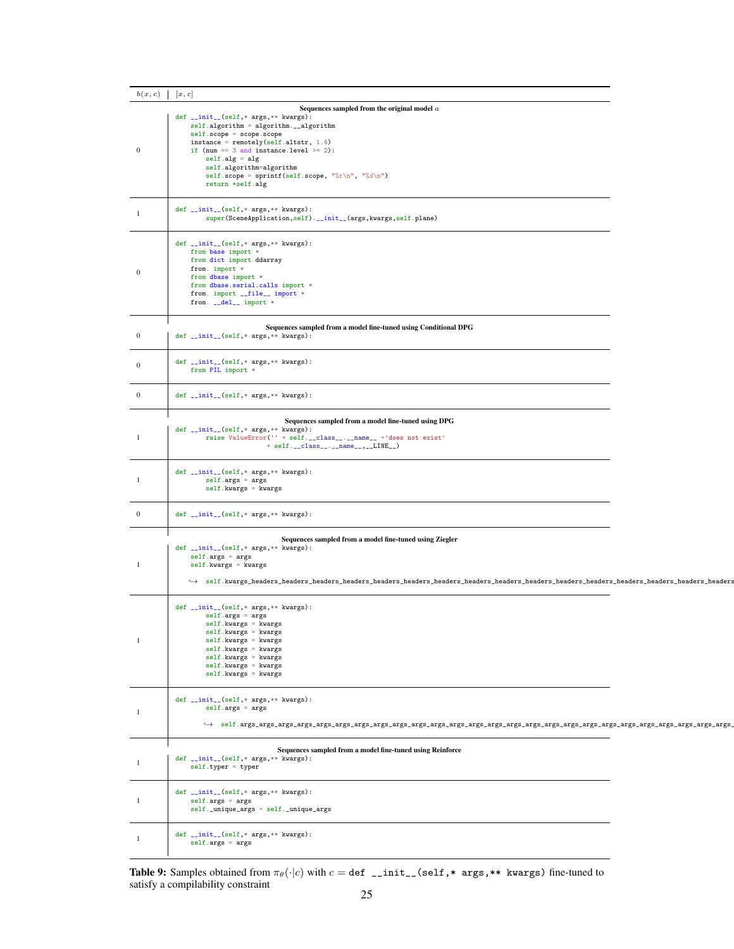|                          | $b(x, c)$   $[x, c]$                                                                                                                                                |
|--------------------------|---------------------------------------------------------------------------------------------------------------------------------------------------------------------|
|                          | Sequences sampled from the original model $\boldsymbol{a}$                                                                                                          |
|                          | def __init__(self,* args,** kwargs):                                                                                                                                |
|                          | $self.algorithms = algorithm.__algorithm$                                                                                                                           |
|                          | self.scope = scope.scope<br>$intance = remotely(self.altstr, 1.4)$                                                                                                  |
| $\overline{0}$           | if (num == $3$ and instance.level >= $2$ ):                                                                                                                         |
|                          | $self.alg = alg$                                                                                                                                                    |
|                          | self.algorithm=algorithm<br>self.scope = sprintf(self.scope, " $\pi$ <sup>n</sup> ,", " $\frac{d}{d}$ n")                                                           |
|                          | return *self.alg                                                                                                                                                    |
| $\frac{1}{2}$            |                                                                                                                                                                     |
|                          | $def __init__(self, * args, ** kwargs):$                                                                                                                            |
| $\overline{1}$           | super(SceneApplication, self).__init__(args, kwargs, self.plane)                                                                                                    |
|                          |                                                                                                                                                                     |
|                          |                                                                                                                                                                     |
|                          | $def __init__(self, * args, ** kvargs):$<br>from base import *                                                                                                      |
|                          | from dict import ddarray                                                                                                                                            |
| $\mathbf{0}$             | from. import *                                                                                                                                                      |
|                          | from dbase import *<br>from dbase.serial.calls import *                                                                                                             |
|                          | from. import __file__ import *                                                                                                                                      |
|                          | from. __del__ import *                                                                                                                                              |
|                          |                                                                                                                                                                     |
|                          | Sequences sampled from a model fine-tuned using Conditional DPG                                                                                                     |
| $\overline{0}$           | $def __init__(self, * args, ** kways):$                                                                                                                             |
|                          |                                                                                                                                                                     |
|                          | $\begin{minipage}{.4\linewidth} \begin{tabular}{ll} \bf def & \tt \color{gray} = init \tt \color{gray} = (self, * args, **kwargs): \\ \end{tabular} \end{minipage}$ |
| $\overline{0}$           | from PIL import *                                                                                                                                                   |
|                          |                                                                                                                                                                     |
|                          |                                                                                                                                                                     |
| $\mathbf{0}$             | $def __init__(self, * args, ** kways):$                                                                                                                             |
|                          |                                                                                                                                                                     |
|                          | Sequences sampled from a model fine-tuned using DPG                                                                                                                 |
| $\mathbf{1}$             | $def __init__(self, * args, ** kways):$<br>raise ValueError('' + self.__class__.__name__ +'does not exist'                                                          |
|                          | $+$ self.__class__.__name__,__LINE__)                                                                                                                               |
|                          |                                                                                                                                                                     |
|                          | $def __init__(self, * args, ** kways):$                                                                                                                             |
| $\mathbf{1}$             | $self. args = args$                                                                                                                                                 |
|                          | self.kwargs = kwargs                                                                                                                                                |
|                          |                                                                                                                                                                     |
| $\overline{0}$           | $def __init__(self, * args, ** kways):$                                                                                                                             |
|                          |                                                                                                                                                                     |
|                          |                                                                                                                                                                     |
|                          | Sequences sampled from a model fine-tuned using Ziegler<br>$def __init__(self, * args, ** kvargs):$                                                                 |
|                          | $self. args = args$                                                                                                                                                 |
| $\mathbf{1}$             | $self.kwargs = kwargs$                                                                                                                                              |
|                          |                                                                                                                                                                     |
|                          | self.kwargs_headers_headers_headers_headers_headers_headers_headers_headers_headers_headers_headers_headers_headers_headers_headers_headers_headers_headers_headers |
|                          |                                                                                                                                                                     |
|                          | $def __init__(self, * args, ** kways):$                                                                                                                             |
|                          | $self. args = args$<br>$self.kwargs = kwargs$                                                                                                                       |
|                          | self.kwargs = kwargs                                                                                                                                                |
|                          | self.kwargs = kwargs                                                                                                                                                |
|                          | $self.kwargs = kwargs$<br>$self.kwargs = kwargs$                                                                                                                    |
|                          | $self.kwargs = kwargs$                                                                                                                                              |
|                          | self.kwargs = kwargs                                                                                                                                                |
|                          |                                                                                                                                                                     |
|                          | $def __init__(self, * args, ** kways):$                                                                                                                             |
| $\mathbf{1}$             | $self. args = args$                                                                                                                                                 |
|                          |                                                                                                                                                                     |
|                          |                                                                                                                                                                     |
|                          |                                                                                                                                                                     |
|                          | Sequences sampled from a model fine-tuned using Reinforce                                                                                                           |
|                          | $def __init__(self, * args, ** kways):$<br>self.typer = typer                                                                                                       |
|                          |                                                                                                                                                                     |
|                          |                                                                                                                                                                     |
| $\mathbf{1}$             | $def __init__(self, * args, ** kvargs):$<br>self.args = args                                                                                                        |
|                          | self._unique_args = self._unique_args                                                                                                                               |
| $\overline{\phantom{a}}$ |                                                                                                                                                                     |
|                          | $def __init__(self, * args, ** kways):$                                                                                                                             |
| $\overline{1}$           | $self.args = args$                                                                                                                                                  |
|                          |                                                                                                                                                                     |

**Table 9:** Samples obtained from  $\pi_{\theta}(\cdot|c)$  with  $c = \text{def } \_\_init \_\_ (self, * \text{ args}, ** \text{ kwargs})$  fine-tuned to satisfy a compilability constraint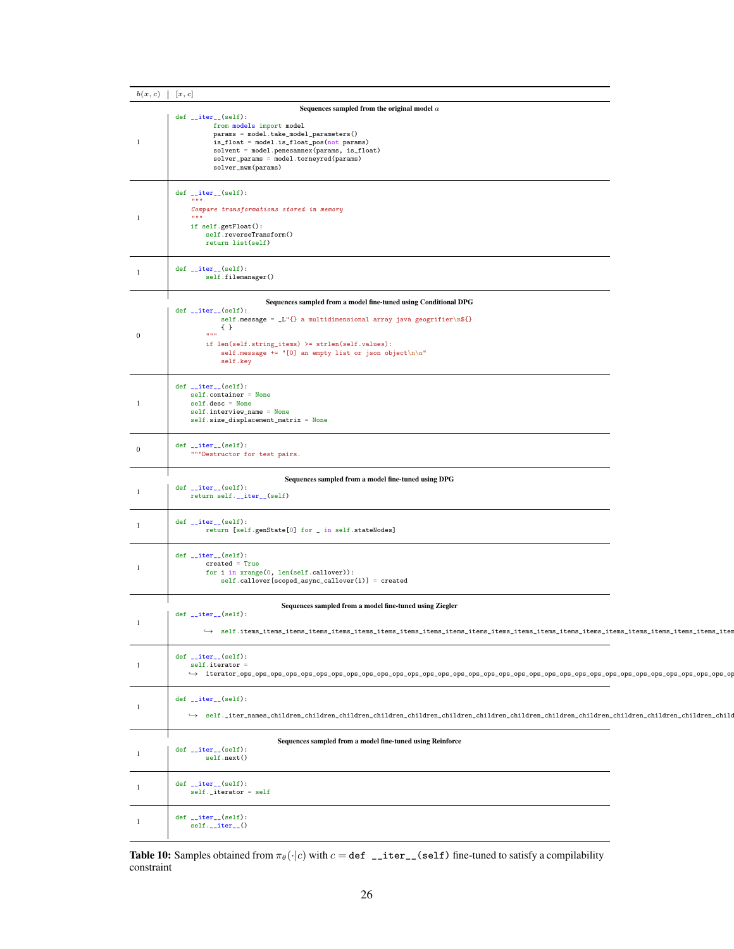<span id="page-25-0"></span>

| $b(x, c)$   $[x, c]$                                                                                                                                                                                                                                                                                                                                                                                                                                                                                                                     |  |  |  |
|------------------------------------------------------------------------------------------------------------------------------------------------------------------------------------------------------------------------------------------------------------------------------------------------------------------------------------------------------------------------------------------------------------------------------------------------------------------------------------------------------------------------------------------|--|--|--|
| $\frac{1}{2} \left( \frac{1}{2} \right) \left( \frac{1}{2} \right) \left( \frac{1}{2} \right) \left( \frac{1}{2} \right) \left( \frac{1}{2} \right) \left( \frac{1}{2} \right) \left( \frac{1}{2} \right) \left( \frac{1}{2} \right) \left( \frac{1}{2} \right) \left( \frac{1}{2} \right) \left( \frac{1}{2} \right) \left( \frac{1}{2} \right) \left( \frac{1}{2} \right) \left( \frac{1}{2} \right) \left( \frac{1}{2} \right) \left( \frac{1}{2} \right) \left( \frac$<br>Sequences sampled from the original model $\boldsymbol{a}$ |  |  |  |
| $\det$ __iter__(self):                                                                                                                                                                                                                                                                                                                                                                                                                                                                                                                   |  |  |  |
| from models import model<br>params = model.take_model_parameters()                                                                                                                                                                                                                                                                                                                                                                                                                                                                       |  |  |  |
| is_float = model.is_float_pos(not params)                                                                                                                                                                                                                                                                                                                                                                                                                                                                                                |  |  |  |
| solvent = model.penesannex(params, is_float)                                                                                                                                                                                                                                                                                                                                                                                                                                                                                             |  |  |  |
| solver_params = model.torneyred(params)<br>solver_nwm(params)                                                                                                                                                                                                                                                                                                                                                                                                                                                                            |  |  |  |
|                                                                                                                                                                                                                                                                                                                                                                                                                                                                                                                                          |  |  |  |
| $\frac{1}{2} \left( \frac{1}{2} \right) \left( \frac{1}{2} \right) \left( \frac{1}{2} \right) \left( \frac{1}{2} \right) \left( \frac{1}{2} \right) \left( \frac{1}{2} \right) \left( \frac{1}{2} \right) \left( \frac{1}{2} \right) \left( \frac{1}{2} \right) \left( \frac{1}{2} \right) \left( \frac{1}{2} \right) \left( \frac{1}{2} \right) \left( \frac{1}{2} \right) \left( \frac{1}{2} \right) \left( \frac{1}{2} \right) \left( \frac{1}{2} \right) \left( \frac$                                                               |  |  |  |
| $def \_iter \_ (self):$<br>$n$ $n$ $n$                                                                                                                                                                                                                                                                                                                                                                                                                                                                                                   |  |  |  |
| Compare transformations stored in memory                                                                                                                                                                                                                                                                                                                                                                                                                                                                                                 |  |  |  |
| n n n<br>$\sim$ 1                                                                                                                                                                                                                                                                                                                                                                                                                                                                                                                        |  |  |  |
| if self.getFloat():<br>self.reverseTransform()                                                                                                                                                                                                                                                                                                                                                                                                                                                                                           |  |  |  |
| return list(self)                                                                                                                                                                                                                                                                                                                                                                                                                                                                                                                        |  |  |  |
| $\frac{1}{2} \left( \frac{1}{2} \right) \left( \frac{1}{2} \right) \left( \frac{1}{2} \right) \left( \frac{1}{2} \right) \left( \frac{1}{2} \right) \left( \frac{1}{2} \right) \left( \frac{1}{2} \right) \left( \frac{1}{2} \right) \left( \frac{1}{2} \right) \left( \frac{1}{2} \right) \left( \frac{1}{2} \right) \left( \frac{1}{2} \right) \left( \frac{1}{2} \right) \left( \frac{1}{2} \right) \left( \frac{1}{2} \right) \left( \frac{1}{2} \right) \left( \frac$                                                               |  |  |  |
| $def \_iter_{-}(self):$                                                                                                                                                                                                                                                                                                                                                                                                                                                                                                                  |  |  |  |
| $\mathbf{1}$<br>self.filemanager()                                                                                                                                                                                                                                                                                                                                                                                                                                                                                                       |  |  |  |
| $\frac{1}{2} \left( \frac{1}{2} \right) \left( \frac{1}{2} \right) \left( \frac{1}{2} \right) \left( \frac{1}{2} \right) \left( \frac{1}{2} \right) \left( \frac{1}{2} \right) \left( \frac{1}{2} \right) \left( \frac{1}{2} \right) \left( \frac{1}{2} \right) \left( \frac{1}{2} \right) \left( \frac{1}{2} \right) \left( \frac{1}{2} \right) \left( \frac{1}{2} \right) \left( \frac{1}{2} \right) \left( \frac{1}{2} \right) \left( \frac{1}{2} \right) \left( \frac$                                                               |  |  |  |
| Sequences sampled from a model fine-tuned using Conditional DPG                                                                                                                                                                                                                                                                                                                                                                                                                                                                          |  |  |  |
| $\vert$ def $_{_{-}}$ iter $_{_{-}}$ (self):                                                                                                                                                                                                                                                                                                                                                                                                                                                                                             |  |  |  |
| self.message = $_L''$ {} a multidimensional array java geogrifier\n\${}                                                                                                                                                                                                                                                                                                                                                                                                                                                                  |  |  |  |
| $\{\}$<br><b>CONTRACTOR</b>                                                                                                                                                                                                                                                                                                                                                                                                                                                                                                              |  |  |  |
| if len(self.string_items) >= strlen(self.values):                                                                                                                                                                                                                                                                                                                                                                                                                                                                                        |  |  |  |
| self.message += "[0] an empty list or json object\n\n"                                                                                                                                                                                                                                                                                                                                                                                                                                                                                   |  |  |  |
| self.key                                                                                                                                                                                                                                                                                                                                                                                                                                                                                                                                 |  |  |  |
| $\frac{1}{2} \left( \frac{1}{2} \right) \left( \frac{1}{2} \right) \left( \frac{1}{2} \right) \left( \frac{1}{2} \right) \left( \frac{1}{2} \right) \left( \frac{1}{2} \right) \left( \frac{1}{2} \right) \left( \frac{1}{2} \right) \left( \frac{1}{2} \right) \left( \frac{1}{2} \right) \left( \frac{1}{2} \right) \left( \frac{1}{2} \right) \left( \frac{1}{2} \right) \left( \frac{1}{2} \right) \left( \frac{1}{2} \right) \left( \frac{1}{2} \right) \left( \frac$                                                               |  |  |  |
| $def _i_ter _i(self):$<br>self.container = None                                                                                                                                                                                                                                                                                                                                                                                                                                                                                          |  |  |  |
| $\overline{1}$<br>self.desc = None                                                                                                                                                                                                                                                                                                                                                                                                                                                                                                       |  |  |  |
| self.interview_name = None                                                                                                                                                                                                                                                                                                                                                                                                                                                                                                               |  |  |  |
| $self.size\_display$                                                                                                                                                                                                                                                                                                                                                                                                                                                                                                                     |  |  |  |
| $\frac{1}{2} \left( \frac{1}{2} \right)^{2} \left( \frac{1}{2} \right)^{2} \left( \frac{1}{2} \right)^{2} \left( \frac{1}{2} \right)^{2} \left( \frac{1}{2} \right)^{2} \left( \frac{1}{2} \right)^{2} \left( \frac{1}{2} \right)^{2} \left( \frac{1}{2} \right)^{2} \left( \frac{1}{2} \right)^{2} \left( \frac{1}{2} \right)^{2} \left( \frac{1}{2} \right)^{2} \left( \frac{1}{2} \right)^{2} \left( \frac{1}{2} \right)^{2} \left( \frac$                                                                                            |  |  |  |
| $def __iter__(self):$<br>$\mathbf{0}$                                                                                                                                                                                                                                                                                                                                                                                                                                                                                                    |  |  |  |
| """Destructor for test pairs.                                                                                                                                                                                                                                                                                                                                                                                                                                                                                                            |  |  |  |
| $\overline{\phantom{a}}$                                                                                                                                                                                                                                                                                                                                                                                                                                                                                                                 |  |  |  |
| Sequences sampled from a model fine-tuned using DPG                                                                                                                                                                                                                                                                                                                                                                                                                                                                                      |  |  |  |
| $\det$ __iter__(self):<br>return self.__iter__(self)                                                                                                                                                                                                                                                                                                                                                                                                                                                                                     |  |  |  |
| $\frac{1}{2} \left( \frac{1}{2} \right) \left( \frac{1}{2} \right) \left( \frac{1}{2} \right) \left( \frac{1}{2} \right) \left( \frac{1}{2} \right) \left( \frac{1}{2} \right) \left( \frac{1}{2} \right) \left( \frac{1}{2} \right) \left( \frac{1}{2} \right) \left( \frac{1}{2} \right) \left( \frac{1}{2} \right) \left( \frac{1}{2} \right) \left( \frac{1}{2} \right) \left( \frac{1}{2} \right) \left( \frac{1}{2} \right) \left( \frac{1}{2} \right) \left( \frac$                                                               |  |  |  |
|                                                                                                                                                                                                                                                                                                                                                                                                                                                                                                                                          |  |  |  |
| $def _ = iter _ = (self):$<br>$\overline{1}$<br>return [self.genState[0] for _ in self.stateNodes]                                                                                                                                                                                                                                                                                                                                                                                                                                       |  |  |  |
| $\frac{1}{2} \left( \frac{1}{2} \right) \left( \frac{1}{2} \right) \left( \frac{1}{2} \right) \left( \frac{1}{2} \right) \left( \frac{1}{2} \right) \left( \frac{1}{2} \right) \left( \frac{1}{2} \right) \left( \frac{1}{2} \right) \left( \frac{1}{2} \right) \left( \frac{1}{2} \right) \left( \frac{1}{2} \right) \left( \frac{1}{2} \right) \left( \frac{1}{2} \right) \left( \frac{1}{2} \right) \left( \frac{1}{2} \right) \left( \frac{1}{2} \right) \left( \frac$                                                               |  |  |  |
| $def \_iter \_ (self):$                                                                                                                                                                                                                                                                                                                                                                                                                                                                                                                  |  |  |  |
| $created = True$                                                                                                                                                                                                                                                                                                                                                                                                                                                                                                                         |  |  |  |
| for i in xrange(0, len(self.callover)):                                                                                                                                                                                                                                                                                                                                                                                                                                                                                                  |  |  |  |
| self.callover[scoped_async_callover(i)] = created                                                                                                                                                                                                                                                                                                                                                                                                                                                                                        |  |  |  |
| $\frac{1}{2} \left( \frac{1}{2} \right) \left( \frac{1}{2} \right) \left( \frac{1}{2} \right) \left( \frac{1}{2} \right) \left( \frac{1}{2} \right) \left( \frac{1}{2} \right) \left( \frac{1}{2} \right) \left( \frac{1}{2} \right) \left( \frac{1}{2} \right) \left( \frac{1}{2} \right) \left( \frac{1}{2} \right) \left( \frac{1}{2} \right) \left( \frac{1}{2} \right) \left( \frac{1}{2} \right) \left( \frac{1}{2} \right) \left( \frac{1}{2} \right) \left( \frac$                                                               |  |  |  |
| Sequences sampled from a model fine-tuned using Ziegler                                                                                                                                                                                                                                                                                                                                                                                                                                                                                  |  |  |  |
| $\det$ __iter__(self):<br>$\mathbf{1}$                                                                                                                                                                                                                                                                                                                                                                                                                                                                                                   |  |  |  |
| $\hookrightarrow$ self.items_items_items_items_items_items_items_items_items_items_items_items_items_items_items_items_items_items_items_items_items_items_items_items_items_items_items_items_items_items_items_items_items_items_items_                                                                                                                                                                                                                                                                                                |  |  |  |
| $\frac{1}{2} \left( \frac{1}{2} \right)^2 \left( \frac{1}{2} \right)^2 \left( \frac{1}{2} \right)^2$                                                                                                                                                                                                                                                                                                                                                                                                                                     |  |  |  |
| $\det$ __iter__(self):                                                                                                                                                                                                                                                                                                                                                                                                                                                                                                                   |  |  |  |
| self.iterator =<br>$\sim$ 1                                                                                                                                                                                                                                                                                                                                                                                                                                                                                                              |  |  |  |
|                                                                                                                                                                                                                                                                                                                                                                                                                                                                                                                                          |  |  |  |
| $\sim$ 0.000 $\sim$                                                                                                                                                                                                                                                                                                                                                                                                                                                                                                                      |  |  |  |
| $def$ $_{_{-}}iter$ $_{_{-}}(self):$                                                                                                                                                                                                                                                                                                                                                                                                                                                                                                     |  |  |  |
| $\mathbf{1}$<br>$\leftrightarrow$ self._iter_names_children_children_children_children_children_children_children_children_children_children_children_children_children_children_children_children_children_children_children_children_children_children_c                                                                                                                                                                                                                                                                               |  |  |  |
|                                                                                                                                                                                                                                                                                                                                                                                                                                                                                                                                          |  |  |  |
| Sequences sampled from a model fine-tuned using Reinforce                                                                                                                                                                                                                                                                                                                                                                                                                                                                                |  |  |  |
| $\det$ __iter__(self):                                                                                                                                                                                                                                                                                                                                                                                                                                                                                                                   |  |  |  |
| $\overline{1}$<br>self.next()                                                                                                                                                                                                                                                                                                                                                                                                                                                                                                            |  |  |  |
| $\sim$                                                                                                                                                                                                                                                                                                                                                                                                                                                                                                                                   |  |  |  |
| $def __iter__(self):$                                                                                                                                                                                                                                                                                                                                                                                                                                                                                                                    |  |  |  |
| $\sim$ 1<br>self._iterator = self                                                                                                                                                                                                                                                                                                                                                                                                                                                                                                        |  |  |  |
| $\frac{1}{2}$                                                                                                                                                                                                                                                                                                                                                                                                                                                                                                                            |  |  |  |
| $def __iter__(self):$                                                                                                                                                                                                                                                                                                                                                                                                                                                                                                                    |  |  |  |
| $\overline{1}$<br>self.__iter__()                                                                                                                                                                                                                                                                                                                                                                                                                                                                                                        |  |  |  |
|                                                                                                                                                                                                                                                                                                                                                                                                                                                                                                                                          |  |  |  |

**Table 10:** Samples obtained from  $\pi_{\theta}(\cdot|c)$  with  $c = \text{def } \_\text{i} \_\text{ref}$  (self) fine-tuned to satisfy a compilability constraint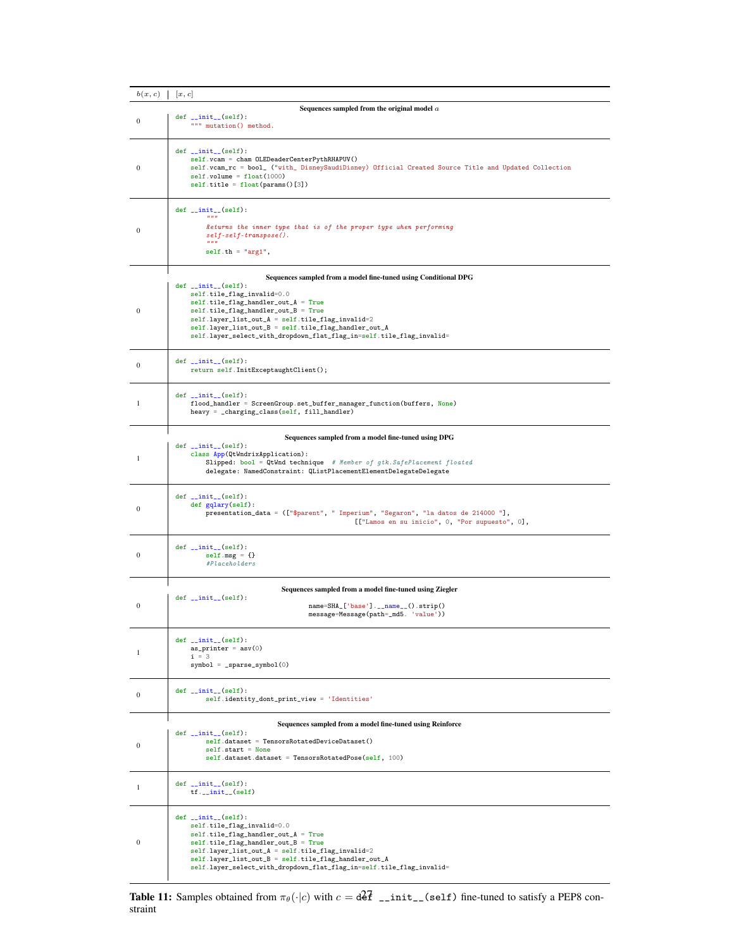<span id="page-26-0"></span>

| $b(x, c)$ $[x, c]$ |                                                                                                                                                                                                                                                                                                                       |
|--------------------|-----------------------------------------------------------------------------------------------------------------------------------------------------------------------------------------------------------------------------------------------------------------------------------------------------------------------|
|                    | Sequences sampled from the original model $a$                                                                                                                                                                                                                                                                         |
| $\boldsymbol{0}$   | $def __init__(self):$<br>""" mutation() method.                                                                                                                                                                                                                                                                       |
| $\boldsymbol{0}$   | $def __init__(self):$<br>self.vcam = cham OLEDeaderCenterPythRHAPUV()<br>self.vcam_rc = bool_ ("with_ DisneySaudiDisney) Official Created Source Title and Updated Collection<br>$self.volume = float(1000)$<br>$self.title = float(params() [3])$                                                                    |
| $\boldsymbol{0}$   | $def __init__(self):$<br>n n n<br>Returns the inner type that is of the proper type when performing<br>$self\text{-}self\text{-}transpose()$ .<br>n n n<br>$self.th = "arg1",$                                                                                                                                        |
|                    | Sequences sampled from a model fine-tuned using Conditional DPG                                                                                                                                                                                                                                                       |
| $\boldsymbol{0}$   | $def __init__(self):$<br>self.tile_flag_invalid=0.0<br>self.tile_flag_handler_out_A = True<br>self.tile_flag_handler_out_B = True<br>self.layer_list_out_A = self.tile_flag_invalid=2<br>self.layer_list_out_B = self.tile_flag_handler_out_A<br>self.layer_select_with_dropdown_flat_flag_in=self.tile_flag_invalid= |
| $\boldsymbol{0}$   | $def __init__(self):$<br>return self. InitExceptaughtClient();                                                                                                                                                                                                                                                        |
| 1                  | $def __init__(self):$<br>flood_handler = ScreenGroup.set_buffer_manager_function(buffers, None)<br>heavy = _charging_class(self, fill_handler)                                                                                                                                                                        |
| $\mathbf{1}$       | Sequences sampled from a model fine-tuned using DPG<br>$def __init__(self):$<br>class App(QtWndrixApplication):<br>Slipped: bool = QtWnd technique # Member of $qtk. SafePlacement$ floated<br>delegate: NamedConstraint: QListPlacementElementDelegateDelegate                                                       |
| $\boldsymbol{0}$   | $def __init__(self):$<br>def gqlary(self):<br>presentation_data = (["\$parent", " Imperium", "Segaron", "la datos de 214000 "],<br>[["Lamos en su inicio", 0, "Por supuesto", 0],                                                                                                                                     |
| $\mathbf{0}$       | $def __init__(self):$<br>$self.msg = \{\}$<br>#Placeholders                                                                                                                                                                                                                                                           |
| $\boldsymbol{0}$   | Sequences sampled from a model fine-tuned using Ziegler<br>$def __init__(self):$<br>name=SHA_['base'].__name__().strip()<br>message=Message(path=_md5. 'value'))                                                                                                                                                      |
| $\mathbf{1}$       | $def __init__(self):$<br>$as\_printer = asv(0)$<br>$i = 3$<br>$symbol1 = \text{sparse\_symbol}(0)$                                                                                                                                                                                                                    |
| $\boldsymbol{0}$   | $def __init__(self):$<br>self.identity_dont_print_view = 'Identities'                                                                                                                                                                                                                                                 |
| 0                  | Sequences sampled from a model fine-tuned using Reinforce<br>$def __init__(self):$<br>self.dataset = TensorsRotatedDeviceDataset()<br>$self.start = None$<br>self.dataset.dataset = TensorsRotatedPose(self, 100)                                                                                                     |
| $\mathbf{1}$       | $def __init__(self):$<br>$tf._{-init._} (self)$                                                                                                                                                                                                                                                                       |
| 0                  | $def __init__(self):$<br>self.tile_flag_invalid=0.0<br>self.tile_flag_handler_out_A = True<br>self.tile_flag_handler_out_B = True<br>self.layer_list_out_A = self.tile_flag_invalid=2<br>self.layer_list_out_B = self.tile_flag_handler_out_A<br>self.layer_select_with_dropdown_flat_flag_in=self.tile_flag_invalid= |

**Table 11:** Samples obtained from  $\pi_{\theta}(\cdot|c)$  with  $c = d\mathbf{H}$  \_init\_(self) fine-tuned to satisfy a PEP8 constraint 27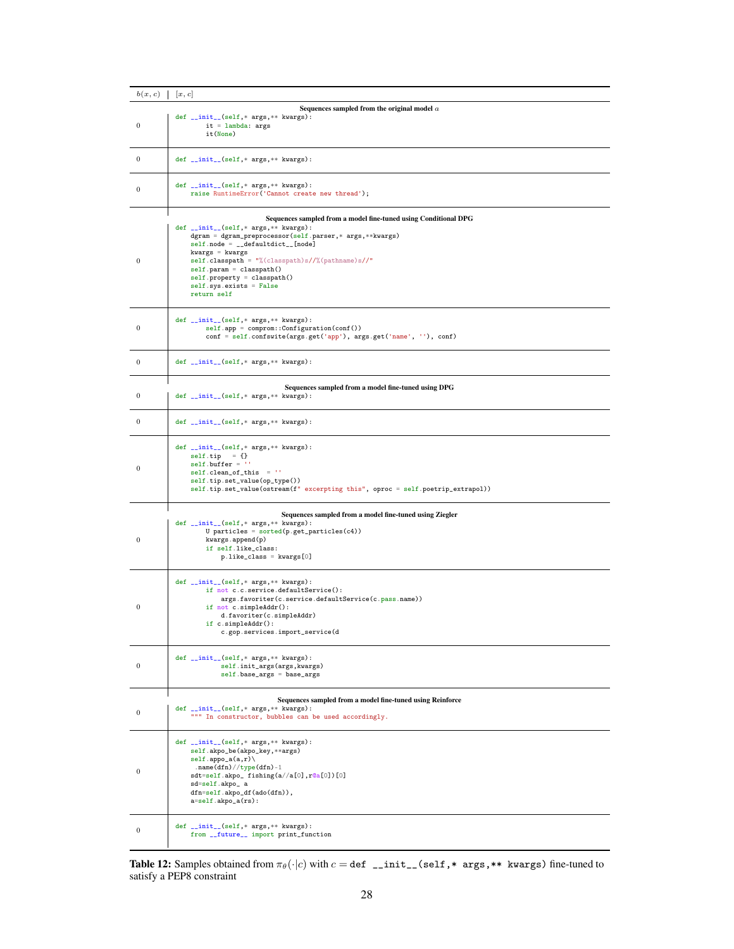| $b(x, c)$   $ x, c $ |                                                                                                                                                                                                                                                                                                                                                                                                   |
|----------------------|---------------------------------------------------------------------------------------------------------------------------------------------------------------------------------------------------------------------------------------------------------------------------------------------------------------------------------------------------------------------------------------------------|
| 0                    | Sequences sampled from the original model $a$<br>def __init__(self,* args,** kwargs):<br>$it =$ lambda: args<br>it(None)                                                                                                                                                                                                                                                                          |
| $\boldsymbol{0}$     | def __init__(self,* args,** kwargs):                                                                                                                                                                                                                                                                                                                                                              |
| $\boldsymbol{0}$     | def __init__(self,* args,** kwargs):<br>raise RuntimeError('Cannot create new thread');                                                                                                                                                                                                                                                                                                           |
| $\mathbf{0}$         | Sequences sampled from a model fine-tuned using Conditional DPG<br>def __init__(self,* args,** kwargs):<br>dgram = dgram_preprocessor(self.parser,* args,**kwargs)<br>$self.node = _defaultdict__[node]$<br>$kways = kways$<br>$self.classpath = "\{(classpath)s//\{(pathname)s//\}}$<br>$self.param = classpath()$<br>$self.property = classpath()$<br>$self.sys. exists = False$<br>return self |
| 0                    | def __init__(self,* args,** kwargs):<br>$self.append = comprom::Configuration(conf())$<br>conf = self.confswite(args.get('app'), args.get('name', ''), conf)                                                                                                                                                                                                                                      |
| $\boldsymbol{0}$     | def __init__(self,* args,** kwargs):                                                                                                                                                                                                                                                                                                                                                              |
| $\boldsymbol{0}$     | Sequences sampled from a model fine-tuned using DPG<br>def __init__(self,* args,** kwargs):                                                                                                                                                                                                                                                                                                       |
| 0                    | def __init__(self,* args,** kwargs):                                                                                                                                                                                                                                                                                                                                                              |
| $\boldsymbol{0}$     | def __init__(self,* args,** kwargs):<br>$self.tip = \{\}$<br>$self.buffer = ''$<br>$self$ .clean_of_this = $'$<br>self.tip.set_value(op_type())<br>self.tip.set_value(ostream(f" excerpting this", oproc = self.poetrip_extrapol))                                                                                                                                                                |
| $\boldsymbol{0}$     | Sequences sampled from a model fine-tuned using Ziegler<br>def __init__(self,* args,** kwargs):<br>U particles = $sorted(p.get\_particles(c4))$<br>kwargs.append(p)<br>if self.like_class:<br>$p.like_class = kwargs[0]$                                                                                                                                                                          |
| 0                    | $def __init__(self, * args, ** kwargs):$<br>if not c.c.service.defaultService():<br>args.favoriter(c.service.defaultService(c.pass.name))<br>if not c.simpleAddr():<br>d.favoriter(c.simpleAddr)<br>$if c.simpleAddr()$ :<br>c.gop.services.import_service(d                                                                                                                                      |
| $\boldsymbol{0}$     | def __init__(self,* args,** kwargs):<br>self.init_args(args, kwargs)<br>self.base_args = base_args                                                                                                                                                                                                                                                                                                |
| $\boldsymbol{0}$     | Sequences sampled from a model fine-tuned using Reinforce<br>def __init__(self,* args,** kwargs):<br>""" In constructor, bubbles can be used accordingly.                                                                                                                                                                                                                                         |
| 0                    | $def __init__(self, * args, ** kwargs):$<br>self.akpo_be(akpo_key,**args)<br>$self.append_a(x)$<br>$name(dfn) // type(dfn) - 1$<br>$sdt = self . akpo_ fishing(a//a[0], r@a[0])[0]$<br>sd=self.akpo_a<br>dfn=self.akpo_df(ado(dfn)),<br>$a=self.akpo_a(rs)$ :                                                                                                                                     |
| 0                    | $def __init__(self, * args, ** kwargs):$<br>from __future__ import print_function                                                                                                                                                                                                                                                                                                                 |

Table 12: Samples obtained from  $\pi_{\theta}(\cdot|c)$  with  $c = \text{def } \_ \text{init} \_ (\text{self}, * \text{ args}, ** \text{ kwargs})$  fine-tuned to satisfy a PEP8 constraint